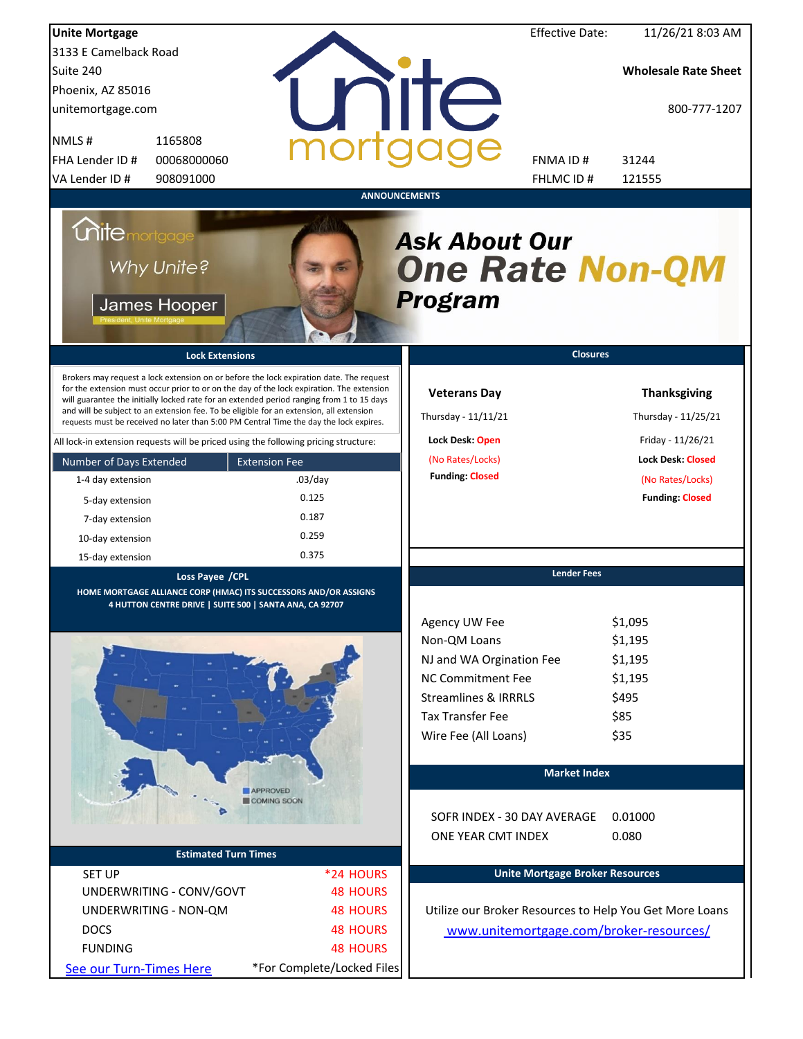| <b>Unite Mortgage</b>                                                                                                                                                                                                                                                                                                                                                                                                                                                                                                                                                                                                                                                                                                                        |                                                                                       |                                                                                                                                                                                 | <b>Effective Date:</b><br>11/26/21 8:03 AM                                                                                                                   |
|----------------------------------------------------------------------------------------------------------------------------------------------------------------------------------------------------------------------------------------------------------------------------------------------------------------------------------------------------------------------------------------------------------------------------------------------------------------------------------------------------------------------------------------------------------------------------------------------------------------------------------------------------------------------------------------------------------------------------------------------|---------------------------------------------------------------------------------------|---------------------------------------------------------------------------------------------------------------------------------------------------------------------------------|--------------------------------------------------------------------------------------------------------------------------------------------------------------|
| 3133 E Camelback Road                                                                                                                                                                                                                                                                                                                                                                                                                                                                                                                                                                                                                                                                                                                        |                                                                                       |                                                                                                                                                                                 |                                                                                                                                                              |
| Suite 240                                                                                                                                                                                                                                                                                                                                                                                                                                                                                                                                                                                                                                                                                                                                    |                                                                                       |                                                                                                                                                                                 | <b>Wholesale Rate Sheet</b>                                                                                                                                  |
| Phoenix, AZ 85016                                                                                                                                                                                                                                                                                                                                                                                                                                                                                                                                                                                                                                                                                                                            |                                                                                       |                                                                                                                                                                                 |                                                                                                                                                              |
| unitemortgage.com                                                                                                                                                                                                                                                                                                                                                                                                                                                                                                                                                                                                                                                                                                                            |                                                                                       | <b>NIIC</b>                                                                                                                                                                     | 800-777-1207                                                                                                                                                 |
| 1165808<br>NMLS#                                                                                                                                                                                                                                                                                                                                                                                                                                                                                                                                                                                                                                                                                                                             |                                                                                       |                                                                                                                                                                                 |                                                                                                                                                              |
| FHA Lender ID #<br>00068000060                                                                                                                                                                                                                                                                                                                                                                                                                                                                                                                                                                                                                                                                                                               |                                                                                       | FNMA ID#                                                                                                                                                                        | 31244                                                                                                                                                        |
| VA Lender ID #<br>908091000                                                                                                                                                                                                                                                                                                                                                                                                                                                                                                                                                                                                                                                                                                                  |                                                                                       | FHLMC ID#                                                                                                                                                                       | 121555                                                                                                                                                       |
| <i><b>Chite mortgage</b></i><br>Why Unite?<br>James Hooper<br><b>Lock Extensions</b><br>Brokers may request a lock extension on or before the lock expiration date. The request<br>for the extension must occur prior to or on the day of the lock expiration. The extension<br>will guarantee the initially locked rate for an extended period ranging from 1 to 15 days<br>and will be subject to an extension fee. To be eligible for an extension, all extension<br>requests must be received no later than 5:00 PM Central Time the day the lock expires.<br>All lock-in extension requests will be priced using the following pricing structure:<br>Number of Days Extended<br>1-4 day extension<br>5-day extension<br>7-day extension | <b>ANNOUNCEMENTS</b><br><b>Extension Fee</b><br>$.03$ /day<br>0.125<br>0.187<br>0.259 | <b>Ask About Our</b><br><b>One Rate Non-QM</b><br><b>Program</b><br><b>Veterans Day</b><br>Thursday - 11/11/21<br>Lock Desk: Open<br>(No Rates/Locks)<br><b>Funding: Closed</b> | <b>Closures</b><br><b>Thanksgiving</b><br>Thursday - 11/25/21<br>Friday - 11/26/21<br><b>Lock Desk: Closed</b><br>(No Rates/Locks)<br><b>Funding: Closed</b> |
| 10-day extension                                                                                                                                                                                                                                                                                                                                                                                                                                                                                                                                                                                                                                                                                                                             | 0.375                                                                                 |                                                                                                                                                                                 |                                                                                                                                                              |
| 15-day extension                                                                                                                                                                                                                                                                                                                                                                                                                                                                                                                                                                                                                                                                                                                             |                                                                                       |                                                                                                                                                                                 | <b>Lender Fees</b>                                                                                                                                           |
| Loss Payee / CPL<br>HOME MORTGAGE ALLIANCE CORP (HMAC) ITS SUCCESSORS AND/OR ASSIGNS                                                                                                                                                                                                                                                                                                                                                                                                                                                                                                                                                                                                                                                         |                                                                                       |                                                                                                                                                                                 |                                                                                                                                                              |
| 4 HUTTON CENTRE DRIVE   SUITE 500   SANTA ANA, CA 92707                                                                                                                                                                                                                                                                                                                                                                                                                                                                                                                                                                                                                                                                                      |                                                                                       | Agency UW Fee<br>Non-QM Loans                                                                                                                                                   | \$1,095<br>\$1,195                                                                                                                                           |
|                                                                                                                                                                                                                                                                                                                                                                                                                                                                                                                                                                                                                                                                                                                                              |                                                                                       | NJ and WA Orgination Fee                                                                                                                                                        | \$1,195                                                                                                                                                      |
|                                                                                                                                                                                                                                                                                                                                                                                                                                                                                                                                                                                                                                                                                                                                              |                                                                                       | <b>NC Commitment Fee</b>                                                                                                                                                        | \$1,195                                                                                                                                                      |
|                                                                                                                                                                                                                                                                                                                                                                                                                                                                                                                                                                                                                                                                                                                                              |                                                                                       | <b>Streamlines &amp; IRRRLS</b>                                                                                                                                                 | \$495                                                                                                                                                        |
|                                                                                                                                                                                                                                                                                                                                                                                                                                                                                                                                                                                                                                                                                                                                              |                                                                                       | <b>Tax Transfer Fee</b>                                                                                                                                                         | \$85                                                                                                                                                         |
|                                                                                                                                                                                                                                                                                                                                                                                                                                                                                                                                                                                                                                                                                                                                              |                                                                                       | Wire Fee (All Loans)                                                                                                                                                            | \$35                                                                                                                                                         |
|                                                                                                                                                                                                                                                                                                                                                                                                                                                                                                                                                                                                                                                                                                                                              |                                                                                       |                                                                                                                                                                                 | <b>Market Index</b>                                                                                                                                          |
|                                                                                                                                                                                                                                                                                                                                                                                                                                                                                                                                                                                                                                                                                                                                              | APPROVED<br>COMING SOON                                                               | SOFR INDEX - 30 DAY AVERAGE<br>ONE YEAR CMT INDEX                                                                                                                               | 0.01000<br>0.080                                                                                                                                             |
| <b>Estimated Turn Times</b>                                                                                                                                                                                                                                                                                                                                                                                                                                                                                                                                                                                                                                                                                                                  |                                                                                       |                                                                                                                                                                                 |                                                                                                                                                              |
| <b>SET UP</b>                                                                                                                                                                                                                                                                                                                                                                                                                                                                                                                                                                                                                                                                                                                                | *24 HOURS                                                                             |                                                                                                                                                                                 | <b>Unite Mortgage Broker Resources</b>                                                                                                                       |
| UNDERWRITING - CONV/GOVT                                                                                                                                                                                                                                                                                                                                                                                                                                                                                                                                                                                                                                                                                                                     | <b>48 HOURS</b>                                                                       |                                                                                                                                                                                 |                                                                                                                                                              |
| UNDERWRITING - NON-QM                                                                                                                                                                                                                                                                                                                                                                                                                                                                                                                                                                                                                                                                                                                        | <b>48 HOURS</b>                                                                       |                                                                                                                                                                                 | Utilize our Broker Resources to Help You Get More Loans                                                                                                      |
| <b>DOCS</b>                                                                                                                                                                                                                                                                                                                                                                                                                                                                                                                                                                                                                                                                                                                                  | <b>48 HOURS</b>                                                                       |                                                                                                                                                                                 | www.unitemortgage.com/broker-resources/                                                                                                                      |
| <b>FUNDING</b>                                                                                                                                                                                                                                                                                                                                                                                                                                                                                                                                                                                                                                                                                                                               | <b>48 HOURS</b>                                                                       |                                                                                                                                                                                 |                                                                                                                                                              |
| See our Turn-Times Here                                                                                                                                                                                                                                                                                                                                                                                                                                                                                                                                                                                                                                                                                                                      | *For Complete/Locked Files                                                            |                                                                                                                                                                                 |                                                                                                                                                              |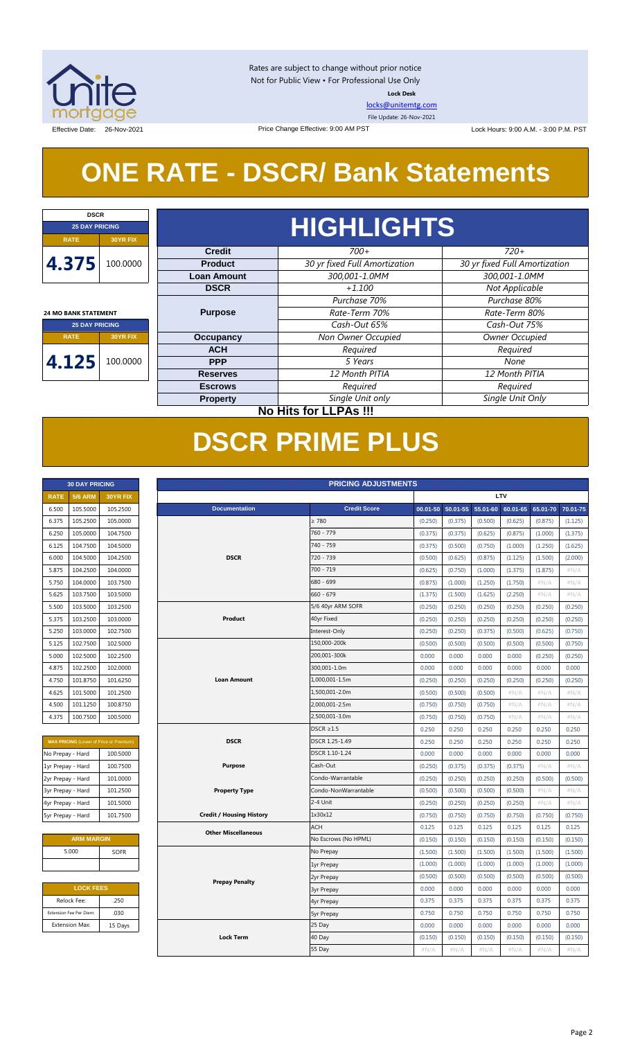

Rates are subject to change without prior notice Not for Public View • For Professional Use Only **Lock Desk**

[locks@unitemtg.com](mailto:locks@unitemtg.com)

File Update: 26-Nov-2021

Effective Date: 26-Nov-2021 26-Nov-2021 Price Change Effective: 9:00 AM PST Lock Hours: 9:00 A.M. - 3:00 P.M. PST

## **ONE RATE - DSCR/ Bank Statements**

Price Change Effective: 9:00 AM PST

| <b>DSCR</b>                 |                              |                    |                               |                               |  |  |  |  |            |         |      |
|-----------------------------|------------------------------|--------------------|-------------------------------|-------------------------------|--|--|--|--|------------|---------|------|
| <b>25 DAY PRICING</b>       |                              | <b>HIGHLIGHTS</b>  |                               |                               |  |  |  |  |            |         |      |
| <b>RATE</b>                 | <b>30YR FIX</b>              |                    |                               |                               |  |  |  |  |            |         |      |
|                             |                              | <b>Credit</b>      | $700+$                        | $720+$                        |  |  |  |  |            |         |      |
| 4.375                       | 100.0000                     | <b>Product</b>     | 30 yr fixed Full Amortization | 30 yr fixed Full Amortization |  |  |  |  |            |         |      |
|                             |                              | <b>Loan Amount</b> | 300,001-1.0MM                 | 300,001-1.0MM                 |  |  |  |  |            |         |      |
|                             |                              | <b>DSCR</b>        | $+1.100$                      | Not Applicable                |  |  |  |  |            |         |      |
|                             |                              |                    | Purchase 70%                  | Purchase 80%                  |  |  |  |  |            |         |      |
| <b>24 MO BANK STATEMENT</b> |                              | <b>Purpose</b>     | Rate-Term 70%                 | Rate-Term 80%                 |  |  |  |  |            |         |      |
| <b>25 DAY PRICING</b>       |                              |                    | Cash-Out 65%                  | Cash-Out 75%                  |  |  |  |  |            |         |      |
| <b>RATE</b>                 | <b>30YR FIX</b>              | <b>Occupancy</b>   | Non Owner Occupied            | Owner Occupied                |  |  |  |  |            |         |      |
|                             |                              | <b>ACH</b>         | Required                      | Required                      |  |  |  |  |            |         |      |
| 4.125                       | 100.0000                     |                    |                               |                               |  |  |  |  | <b>PPP</b> | 5 Years | None |
|                             |                              | <b>Reserves</b>    | 12 Month PITIA                | 12 Month PITIA                |  |  |  |  |            |         |      |
|                             |                              | <b>Escrows</b>     | Required                      | Required                      |  |  |  |  |            |         |      |
|                             |                              | <b>Property</b>    | Single Unit only              | Single Unit Only              |  |  |  |  |            |         |      |
|                             | <b>No Hits for LLPAs !!!</b> |                    |                               |                               |  |  |  |  |            |         |      |

## **DSCR PRIME PLUS**

| <b>30 DAY PRICING</b> |                |                 |  |  |  |  |  |  |
|-----------------------|----------------|-----------------|--|--|--|--|--|--|
| <b>RATE</b>           | <b>5/6 ARM</b> | <b>30YR FIX</b> |  |  |  |  |  |  |
| 6.500                 | 105.5000       | 105.2500        |  |  |  |  |  |  |
| 6.375                 | 105.2500       | 105.0000        |  |  |  |  |  |  |
| 6.250                 | 105.0000       | 104.7500        |  |  |  |  |  |  |
| 6.125                 | 104.7500       | 104.5000        |  |  |  |  |  |  |
| 6.000                 | 104.5000       | 104.2500        |  |  |  |  |  |  |
| 5.875                 | 104.2500       | 104.0000        |  |  |  |  |  |  |
| 5.750                 | 104.0000       | 103.7500        |  |  |  |  |  |  |
| 5.625                 | 103.7500       | 103.5000        |  |  |  |  |  |  |
| 5.500                 | 103.5000       | 103.2500        |  |  |  |  |  |  |
| 5.375                 | 103.2500       | 103.0000        |  |  |  |  |  |  |
| 5.250                 | 103.0000       | 102.7500        |  |  |  |  |  |  |
| 5.125                 | 102.7500       | 102.5000        |  |  |  |  |  |  |
| 5.000                 | 102.5000       | 102.2500        |  |  |  |  |  |  |
| 4.875                 | 102.2500       | 102,0000        |  |  |  |  |  |  |
| 4.750                 | 101.8750       | 101.6250        |  |  |  |  |  |  |
| 4.625                 | 101.5000       | 101.2500        |  |  |  |  |  |  |
| 4.500                 | 101.1250       | 100.8750        |  |  |  |  |  |  |
| 4.375                 | 100.7500       | 100.5000        |  |  |  |  |  |  |

| <b>MAX PRICING (Lower of Price or Premium)</b> |          |  |  |  |  |  |  |  |  |
|------------------------------------------------|----------|--|--|--|--|--|--|--|--|
| No Prepay - Hard                               | 100.5000 |  |  |  |  |  |  |  |  |
| 1yr Prepay - Hard                              | 100.7500 |  |  |  |  |  |  |  |  |
| 2yr Prepay - Hard                              | 101.0000 |  |  |  |  |  |  |  |  |
| 3yr Prepay - Hard                              | 101.2500 |  |  |  |  |  |  |  |  |
| 4yr Prepay - Hard                              | 101.5000 |  |  |  |  |  |  |  |  |
| 5yr Prepay - Hard                              | 101.7500 |  |  |  |  |  |  |  |  |

| <b>ARM MARGIN</b> |             |
|-------------------|-------------|
| 5.000             | <b>SOFR</b> |
|                   |             |

| <b>LOCK FEES</b> |  |  |  |  |  |  |  |  |
|------------------|--|--|--|--|--|--|--|--|
| .250             |  |  |  |  |  |  |  |  |
| .030             |  |  |  |  |  |  |  |  |
| 15 Days          |  |  |  |  |  |  |  |  |
|                  |  |  |  |  |  |  |  |  |

| <b>PRICING ADJUSTMENTS</b><br><b>30 DAY PRICING</b> |                         |                                                |  |                                 |  |                      |          |          |          |          |          |          |
|-----------------------------------------------------|-------------------------|------------------------------------------------|--|---------------------------------|--|----------------------|----------|----------|----------|----------|----------|----------|
| <b>RATE</b>                                         | <b>5/6 ARM</b>          | 30YR FIX                                       |  | <b>LTV</b>                      |  |                      |          |          |          |          |          |          |
| 6.500                                               | 105.5000                | 105.2500                                       |  | <b>Documentation</b>            |  | <b>Credit Score</b>  | 00.01-50 | 50.01-55 | 55.01-60 | 60.01-65 | 65.01-70 | 70.01-75 |
| 6.375                                               | 105.2500                | 105.0000                                       |  |                                 |  | $\geq 780$           | (0.250)  | (0.375)  | (0.500)  | (0.625)  | (0.875)  | (1.125)  |
| 6.250                                               | 105.0000                | 104.7500                                       |  |                                 |  | 760 - 779            | (0.375)  | (0.375)  | (0.625)  | (0.875)  | (1.000)  | (1.375)  |
| 6.125                                               | 104.7500                | 104.5000                                       |  |                                 |  | 740 - 759            | (0.375)  | (0.500)  | (0.750)  | (1.000)  | (1.250)  | (1.625)  |
| 6.000                                               | 104.5000                | 104.2500                                       |  | <b>DSCR</b>                     |  | 720 - 739            | (0.500)  | (0.625)  | (0.875)  | (1.125)  | (1.500)  | (2.000)  |
| 5.875                                               | 104.2500                | 104.0000                                       |  |                                 |  | 700 - 719            | (0.625)  | (0.750)  | (1.000)  | (1.375)  | (1.875)  | #N/A     |
| 5.750                                               | 104.0000                | 103.7500                                       |  |                                 |  | 680 - 699            | (0.875)  | (1.000)  | (1.250)  | (1.750)  | #N/A     | #N/A     |
| 5.625                                               | 103.7500                | 103.5000                                       |  |                                 |  | $660 - 679$          | (1.375)  | (1.500)  | (1.625)  | (2.250)  | $\#N/A$  | $\#N/A$  |
| 5.500                                               | 103.5000                | 103.2500                                       |  |                                 |  | 5/6 40yr ARM SOFR    | (0.250)  | (0.250)  | (0.250)  | (0.250)  | (0.250)  | (0.250)  |
| 5.375                                               | 103.2500                | 103.0000                                       |  | Product                         |  | 40yr Fixed           | (0.250)  | (0.250)  | (0.250)  | (0.250)  | (0.250)  | (0.250)  |
| 5.250                                               | 103.0000                | 102.7500                                       |  |                                 |  | Interest-Only        | (0.250)  | (0.250)  | (0.375)  | (0.500)  | (0.625)  | (0.750)  |
| 5.125                                               | 102.7500                | 102.5000                                       |  |                                 |  | 150,000-200k         | (0.500)  | (0.500)  | (0.500)  | (0.500)  | (0.500)  | (0.750)  |
| 5.000                                               | 102.5000                | 102.2500                                       |  |                                 |  | 200,001-300k         | 0.000    | 0.000    | 0.000    | 0.000    | (0.250)  | (0.250)  |
| 4.875                                               | 102.2500                | 102.0000                                       |  |                                 |  | 300,001-1.0m         | 0.000    | 0.000    | 0.000    | 0.000    | 0.000    | 0.000    |
| 4.750                                               | 101.8750                | 101.6250                                       |  | <b>Loan Amount</b>              |  | 1,000,001-1.5m       | (0.250)  | (0.250)  | (0.250)  | (0.250)  | (0.250)  | (0.250)  |
| 4.625                                               | 101.5000                | 101.2500                                       |  |                                 |  | 1,500,001-2.0m       | (0.500)  | (0.500)  | (0.500)  | $\#N/A$  | $\#N/A$  | $\#N/A$  |
| 4.500                                               | 101.1250                | 100.8750                                       |  |                                 |  | 2,000,001-2.5m       | (0.750)  | (0.750)  | (0.750)  | #N/A     | #N/A     | #N/A     |
| 4.375                                               | 100.7500                | 100.5000                                       |  |                                 |  | 2,500,001-3.0m       | (0.750)  | (0.750)  | (0.750)  | $\#N/A$  | #N/A     | $\#N/A$  |
|                                                     |                         |                                                |  |                                 |  | $DSCR \geq 1.5$      | 0.250    | 0.250    | 0.250    | 0.250    | 0.250    | 0.250    |
|                                                     |                         | <b>MAX PRICING</b> (Lower of Price or Premium) |  | <b>DSCR</b>                     |  | DSCR 1.25-1.49       | 0.250    | 0.250    | 0.250    | 0.250    | 0.250    | 0.250    |
| No Prepay - Hard                                    |                         | 100.5000                                       |  |                                 |  | DSCR 1.10-1.24       | 0.000    | 0.000    | 0.000    | 0.000    | 0.000    | 0.000    |
| 1yr Prepay - Hard                                   |                         | 100.7500                                       |  | <b>Purpose</b>                  |  | Cash-Out             | (0.250)  | (0.375)  | (0.375)  | (0.375)  | $\#N/A$  | #N/A     |
| 2yr Prepay - Hard                                   |                         | 101.0000                                       |  |                                 |  | Condo-Warrantable    | (0.250)  | (0.250)  | (0.250)  | (0.250)  | (0.500)  | (0.500)  |
| 3yr Prepay - Hard                                   |                         | 101.2500                                       |  | <b>Property Type</b>            |  | Condo-NonWarrantable | (0.500)  | (0.500)  | (0.500)  | (0.500)  | $\#N/A$  | $\#N/A$  |
| 4yr Prepay - Hard                                   |                         | 101.5000                                       |  |                                 |  | 2-4 Unit             | (0.250)  | (0.250)  | (0.250)  | (0.250)  | #N/A     | #N/A     |
| 5yr Prepay - Hard                                   |                         | 101.7500                                       |  | <b>Credit / Housing History</b> |  | 1x30x12              | (0.750)  | (0.750)  | (0.750)  | (0.750)  | (0.750)  | (0.750)  |
|                                                     |                         |                                                |  | <b>Other Miscellaneous</b>      |  | <b>ACH</b>           | 0.125    | 0.125    | 0.125    | 0.125    | 0.125    | 0.125    |
|                                                     | <b>ARM MARGIN</b>       |                                                |  |                                 |  | No Escrows (No HPML) | (0.150)  | (0.150)  | (0.150)  | (0.150)  | (0.150)  | (0.150)  |
|                                                     | 5.000                   | <b>SOFR</b>                                    |  |                                 |  | No Prepay            | (1.500)  | (1.500)  | (1.500)  | (1.500)  | (1.500)  | (1.500)  |
|                                                     |                         |                                                |  |                                 |  | 1yr Prepay           | (1.000)  | (1.000)  | (1.000)  | (1.000)  | (1.000)  | (1.000)  |
|                                                     |                         |                                                |  | <b>Prepay Penalty</b>           |  | 2yr Prepay           | (0.500)  | (0.500)  | (0.500)  | (0.500)  | (0.500)  | (0.500)  |
|                                                     | <b>LOCK FEES</b>        |                                                |  |                                 |  | <b>3yr Prepay</b>    | 0.000    | 0.000    | 0.000    | 0.000    | 0.000    | 0.000    |
|                                                     | Relock Fee:             | .250                                           |  |                                 |  | 4yr Prepay           | 0.375    | 0.375    | 0.375    | 0.375    | 0.375    | 0.375    |
|                                                     | Extension Fee Per Diem: | .030                                           |  |                                 |  | <b>5yr Prepay</b>    | 0.750    | 0.750    | 0.750    | 0.750    | 0.750    | 0.750    |
|                                                     | <b>Extension Max:</b>   | 15 Days                                        |  |                                 |  | 25 Day               | 0.000    | 0.000    | 0.000    | 0.000    | 0.000    | 0.000    |
|                                                     |                         |                                                |  | <b>Lock Term</b>                |  | 40 Day               | (0.150)  | (0.150)  | (0.150)  | (0.150)  | (0.150)  | (0.150)  |
|                                                     |                         |                                                |  |                                 |  | 55 Day               | #N/A     | $\#N/A$  | $\#N/A$  | #N/A     | #N/A     | $\#N/A$  |
|                                                     |                         |                                                |  |                                 |  |                      |          |          |          |          |          |          |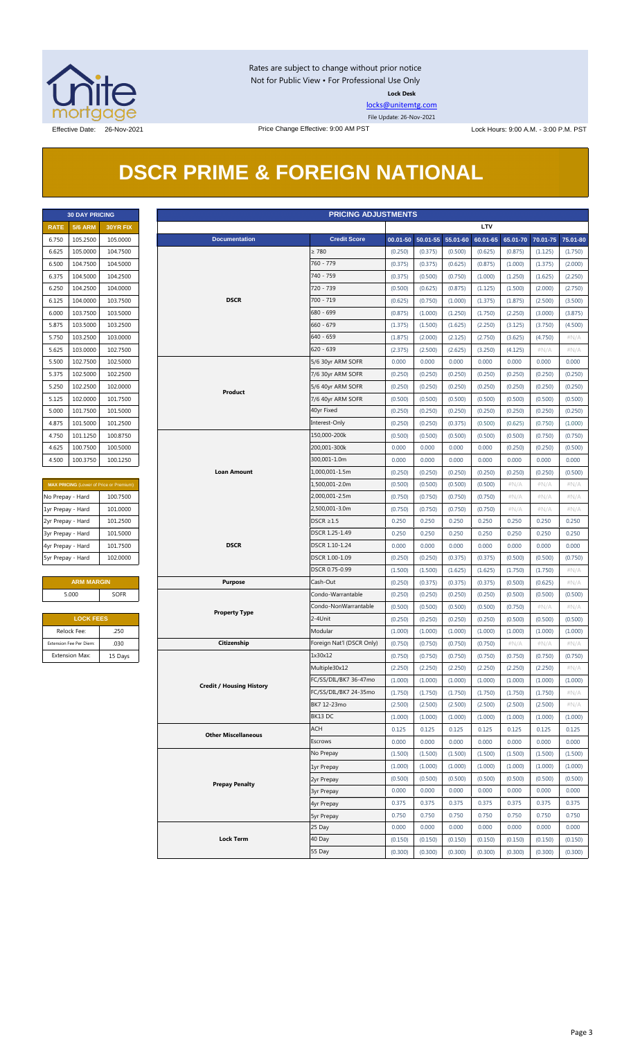

Rates are subject to change without prior notice Not for Public View • For Professional Use Only **Lock Desk**

[locks@unitemtg.com](mailto:locks@unitemtg.com)

File Update: 26-Nov-2021

## **DSCR PRIME & FOREIGN NATIONAL**

|             | <b>30 DAY PRICING</b> |                 |  |  |  |  |  |  |  |  |
|-------------|-----------------------|-----------------|--|--|--|--|--|--|--|--|
| <b>RATE</b> | <b>5/6 ARM</b>        | <b>30YR FIX</b> |  |  |  |  |  |  |  |  |
| 6.750       | 105.2500              | 105.0000        |  |  |  |  |  |  |  |  |
| 6.625       | 105.0000              | 104.7500        |  |  |  |  |  |  |  |  |
| 6.500       | 104.7500              | 104.5000        |  |  |  |  |  |  |  |  |
| 6.375       | 104.5000              | 104.2500        |  |  |  |  |  |  |  |  |
| 6.250       | 104.2500              | 104.0000        |  |  |  |  |  |  |  |  |
| 6.125       | 104.0000              | 103.7500        |  |  |  |  |  |  |  |  |
| 6.000       | 103.7500              | 103.5000        |  |  |  |  |  |  |  |  |
| 5.875       | 103.5000              | 103.2500        |  |  |  |  |  |  |  |  |
| 5.750       | 103.2500              | 103.0000        |  |  |  |  |  |  |  |  |
| 5.625       | 103.0000              | 102.7500        |  |  |  |  |  |  |  |  |
| 5.500       | 102.7500              | 102.5000        |  |  |  |  |  |  |  |  |
| 5.375       | 102.5000              | 102.2500        |  |  |  |  |  |  |  |  |
| 5.250       | 102.2500              | 102,0000        |  |  |  |  |  |  |  |  |
| 5.125       | 102.0000              | 101.7500        |  |  |  |  |  |  |  |  |
| 5.000       | 101.7500              | 101.5000        |  |  |  |  |  |  |  |  |
| 4.875       | 101.5000              | 101.2500        |  |  |  |  |  |  |  |  |
| 4.750       | 101.1250              | 100.8750        |  |  |  |  |  |  |  |  |
| 4.625       | 100.7500              | 100.5000        |  |  |  |  |  |  |  |  |
| 4.500       | 100.3750              | 100.1250        |  |  |  |  |  |  |  |  |

| <b>MAX PRICING</b> (Lower of Price or Premium) |          |  |  |  |  |  |  |  |  |
|------------------------------------------------|----------|--|--|--|--|--|--|--|--|
| No Prepay - Hard                               | 100.7500 |  |  |  |  |  |  |  |  |
| 1yr Prepay - Hard                              | 101.0000 |  |  |  |  |  |  |  |  |
| 2yr Prepay - Hard                              | 101.2500 |  |  |  |  |  |  |  |  |
| 3yr Prepay - Hard                              | 101.5000 |  |  |  |  |  |  |  |  |
| 4yr Prepay - Hard                              | 101.7500 |  |  |  |  |  |  |  |  |
| 5yr Prepay - Hard                              | 102,0000 |  |  |  |  |  |  |  |  |

| <b>ARM MARGIN</b> |             |  |  |  |  |  |  |
|-------------------|-------------|--|--|--|--|--|--|
| 5.000             | <b>SOFR</b> |  |  |  |  |  |  |
|                   |             |  |  |  |  |  |  |

| <b>LOCK FEES</b>        |         |  |  |  |  |  |  |  |
|-------------------------|---------|--|--|--|--|--|--|--|
| Relock Fee:             | .250    |  |  |  |  |  |  |  |
| Extension Fee Per Diem: | .030    |  |  |  |  |  |  |  |
| <b>Extension Max:</b>   | 15 Days |  |  |  |  |  |  |  |

| <b>5/6 ARM</b><br><b>LTV</b><br><b>RATE</b><br>30YR FIX<br><b>Credit Score</b><br><b>Documentation</b><br>105.2500<br>105.0000<br>00.01-50 50.01-55 55.01-60<br>60.01-65<br>65.01-70 70.01-75 75.01-80<br>6.750<br>105.0000<br>104.7500<br>$\geq 780$<br>6.625<br>(0.250)<br>(0.375)<br>(0.500)<br>(0.625)<br>(0.875)<br>(1.125)<br>(1.750)<br>760 - 779<br>104.7500<br>104.5000<br>6.500<br>(0.375)<br>(0.375)<br>(0.625)<br>(0.875)<br>(1.000)<br>(1.375)<br>(2.000)<br>740 - 759<br>104.5000<br>104.2500<br>6.375<br>(0.375)<br>(0.500)<br>(0.750)<br>(1.000)<br>(1.250)<br>(1.625)<br>(2.250)<br>720 - 739<br>104.2500<br>104.0000<br>6.250<br>(0.500)<br>(0.625)<br>(0.875)<br>(1.125)<br>(1.500)<br>(2.000)<br>(2.750)<br><b>DSCR</b><br>700 - 719<br>104.0000<br>103.7500<br>6.125<br>(0.625)<br>(0.750)<br>(1.000)<br>(1.375)<br>(1.875)<br>(2.500)<br>(3.500)<br>680 - 699<br>103.7500<br>103.5000<br>6.000<br>(0.875)<br>(1.000)<br>(1.250)<br>(1.750)<br>(2.250)<br>(3.000)<br>(3.875)<br>5.875<br>103.5000<br>103.2500<br>$660 - 679$<br>(1.500)<br>(2.250)<br>(1.375)<br>(1.625)<br>(3.125)<br>(3.750)<br>(4.500)<br>103.2500<br>103.0000<br>640 - 659<br>(1.875)<br>(2.000)<br>(2.125)<br>(2.750)<br>(3.625)<br>(4.750)<br>5.750<br>$\#N/A$<br>103.0000<br>102.7500<br>$620 - 639$<br>(2.375)<br>(2.500)<br>(2.625)<br>(3.250)<br>(4.125)<br># $N/A$<br>$\#N/A$<br>5.625<br>102.7500<br>102.5000<br>0.000<br>0.000<br>0.000<br>0.000<br>0.000<br>0.000<br>0.000<br>5.500<br>5/6 30yr ARM SOFR<br>102.5000<br>102.2500<br>5.375<br>7/6 30yr ARM SOFR<br>(0.250)<br>(0.250)<br>(0.250)<br>(0.250)<br>(0.250)<br>(0.250)<br>(0.250)<br>102.2500<br>102.0000<br>5.250<br>5/6 40yr ARM SOFR<br>(0.250)<br>(0.250)<br>(0.250)<br>(0.250)<br>(0.250)<br>(0.250)<br>(0.250)<br>Product<br>102.0000<br>101.7500<br>(0.500)<br>5.125<br>7/6 40yr ARM SOFR<br>(0.500)<br>(0.500)<br>(0.500)<br>(0.500)<br>(0.500)<br>(0.500)<br>40yr Fixed<br>5.000<br>101.7500<br>101.5000<br>(0.250)<br>(0.250)<br>(0.250)<br>(0.250)<br>(0.250)<br>(0.250)<br>(0.250)<br>4.875<br>101.5000<br>101.2500<br>Interest-Only<br>(0.250)<br>(0.250)<br>(0.375)<br>(0.500)<br>(0.625)<br>(0.750)<br>(1.000)<br>150,000-200k<br>4.750<br>101.1250<br>100.8750<br>(0.500)<br>(0.500)<br>(0.500)<br>(0.500)<br>(0.500)<br>(0.750)<br>(0.750)<br>200,001-300k<br>100.7500<br>100.5000<br>0.000<br>0.000<br>0.000<br>0.000<br>(0.250)<br>(0.250)<br>(0.500)<br>4.625<br>300,001-1.0m<br>4.500<br>100.3750<br>100.1250<br>0.000<br>0.000<br>0.000<br>0.000<br>0.000<br>0.000<br>0.000<br><b>Loan Amount</b><br>1,000,001-1.5m<br>(0.250)<br>(0.250)<br>(0.250)<br>(0.250)<br>(0.250)<br>(0.250)<br>(0.500)<br>1,500,001-2.0m<br>(0.500)<br>(0.500)<br>(0.500)<br>(0.500)<br>$\#N/A$<br>#N/A<br>$\#N/A$<br>MAX PRICING (Lower of Price or Premium)<br>2,000,001-2.5m<br>No Prepay - Hard<br>100.7500<br>(0.750)<br>(0.750)<br>(0.750)<br>(0.750)<br># $N/A$<br># $N/A$<br>$\#N/A$<br>2,500,001-3.0m<br>101.0000<br>1yr Prepay - Hard<br>(0.750)<br>(0.750)<br>(0.750)<br>(0.750)<br># $N/A$<br># $N/A$<br>$\#N/A$<br>101.2500<br>$DSCR \geq 1.5$<br>0.250<br>0.250<br>0.250<br>0.250<br>0.250<br>0.250<br>0.250<br>2yr Prepay - Hard<br>101.5000<br>DSCR 1.25-1.49<br>0.250<br>0.250<br>0.250<br>0.250<br>0.250<br>0.250<br>0.250<br>3yr Prepay - Hard<br><b>DSCR</b><br>DSCR 1.10-1.24<br>0.000<br>0.000<br>0.000<br>0.000<br>0.000<br>0.000<br>0.000<br>4yr Prepay - Hard<br>101.7500<br>DSCR 1.00-1.09<br>5yr Prepay - Hard<br>102.0000<br>(0.250)<br>(0.250)<br>(0.375)<br>(0.375)<br>(0.500)<br>(0.500)<br>(0.750)<br>DSCR 0.75-0.99<br>(1.500)<br>(1.500)<br>(1.625)<br>(1.625)<br>(1.750)<br>(1.750)<br>#N/A<br><b>ARM MARGIN</b><br>Cash-Out<br><b>Purpose</b><br>(0.250)<br>(0.375)<br>(0.375)<br>(0.375)<br>(0.500)<br>(0.625)<br>$\#N/A$<br>5.000<br>Condo-Warrantable<br><b>SOFR</b><br>(0.250)<br>(0.250)<br>(0.250)<br>(0.250)<br>(0.500)<br>(0.500)<br>(0.500)<br>Condo-NonWarrantable<br>(0.500)<br>(0.500)<br>(0.500)<br>(0.500)<br>(0.750)<br>#N/A<br>#N/A<br><b>Property Type</b><br><b>LOCK FEES</b><br>2-4Unit<br>(0.250)<br>(0.250)<br>(0.250)<br>(0.250)<br>(0.500)<br>(0.500)<br>(0.500)<br>Modular<br>Relock Fee:<br>.250<br>(1.000)<br>(1.000)<br>(1.000)<br>(1.000)<br>(1.000)<br>(1.000)<br>(1.000)<br>.030<br>Citizenship<br>Foreign Nat'l (DSCR Only)<br>(0.750)<br>Extension Fee Per Diem:<br>(0.750)<br>(0.750)<br>(0.750)<br>$\#N/A$<br>$\#N/A$<br>$\#N/A$<br><b>Extension Max:</b><br>1x30x12<br>(0.750)<br>15 Days<br>(0.750)<br>(0.750)<br>(0.750)<br>(0.750)<br>(0.750)<br>(0.750)<br>Multiple30x12<br>(2.250)<br>(2.250)<br>(2.250)<br>(2.250)<br>(2.250)<br>(2.250)<br>$\#N/A$<br>FC/SS/DIL/BK7 36-47mo<br>(1.000)<br>(1.000)<br>(1.000)<br>(1.000)<br>(1.000)<br>(1.000)<br>(1.000)<br><b>Credit / Housing History</b><br>FC/SS/DIL/BK7 24-35mo<br>(1.750)<br>(1.750)<br>(1.750)<br>(1.750)<br>(1.750)<br>(1.750)<br>$\#N/A$<br>BK7 12-23mo<br>(2.500)<br>(2.500)<br>(2.500)<br>(2.500)<br>(2.500)<br>(2.500)<br># $N/A$<br>BK13 DC<br>(1.000)<br>(1.000)<br>(1.000)<br>(1.000)<br>(1.000)<br>(1.000)<br>(1.000)<br><b>ACH</b><br>0.125<br>0.125<br>0.125<br>0.125<br>0.125<br>0.125<br>0.125<br><b>Other Miscellaneous</b><br>Escrows<br>0.000<br>0.000<br>0.000<br>0.000<br>0.000<br>0.000<br>0.000<br>No Prepay<br>(1.500)<br>(1.500)<br>(1.500)<br>(1.500)<br>(1.500)<br>(1.500)<br>(1.500)<br>(1.000)<br>(1.000)<br>(1.000)<br>(1.000)<br>(1.000)<br>(1.000)<br>(1.000)<br>1yr Prepay<br>(0.500)<br>(0.500)<br>(0.500)<br>(0.500)<br>(0.500)<br>(0.500)<br>(0.500)<br>2yr Prepay<br><b>Prepay Penalty</b><br>0.000<br>0.000<br>0.000<br>0.000<br>0.000<br>0.000<br>0.000<br><b>3yr Prepay</b><br>0.375<br>0.375<br>0.375<br>0.375<br>0.375<br>0.375<br>0.375<br>4yr Prepay<br>0.750<br>0.750<br>0.750<br>0.750<br>0.750<br>0.750<br>0.750<br><b>5yr Prepay</b><br>25 Day<br>0.000<br>0.000<br>0.000<br>0.000<br>0.000<br>0.000<br>0.000<br><b>Lock Term</b><br>40 Day<br>(0.150)<br>(0.150)<br>(0.150)<br>(0.150)<br>(0.150)<br>(0.150)<br>(0.150)<br>55 Day<br>(0.300)<br>(0.300)<br>(0.300)<br>(0.300)<br>(0.300)<br>(0.300)<br>(0.300) | <b>PRICING ADJUSTMENTS</b><br><b>30 DAY PRICING</b> |  |  |  |  |  |  |  |  |  |  |  |
|----------------------------------------------------------------------------------------------------------------------------------------------------------------------------------------------------------------------------------------------------------------------------------------------------------------------------------------------------------------------------------------------------------------------------------------------------------------------------------------------------------------------------------------------------------------------------------------------------------------------------------------------------------------------------------------------------------------------------------------------------------------------------------------------------------------------------------------------------------------------------------------------------------------------------------------------------------------------------------------------------------------------------------------------------------------------------------------------------------------------------------------------------------------------------------------------------------------------------------------------------------------------------------------------------------------------------------------------------------------------------------------------------------------------------------------------------------------------------------------------------------------------------------------------------------------------------------------------------------------------------------------------------------------------------------------------------------------------------------------------------------------------------------------------------------------------------------------------------------------------------------------------------------------------------------------------------------------------------------------------------------------------------------------------------------------------------------------------------------------------------------------------------------------------------------------------------------------------------------------------------------------------------------------------------------------------------------------------------------------------------------------------------------------------------------------------------------------------------------------------------------------------------------------------------------------------------------------------------------------------------------------------------------------------------------------------------------------------------------------------------------------------------------------------------------------------------------------------------------------------------------------------------------------------------------------------------------------------------------------------------------------------------------------------------------------------------------------------------------------------------------------------------------------------------------------------------------------------------------------------------------------------------------------------------------------------------------------------------------------------------------------------------------------------------------------------------------------------------------------------------------------------------------------------------------------------------------------------------------------------------------------------------------------------------------------------------------------------------------------------------------------------------------------------------------------------------------------------------------------------------------------------------------------------------------------------------------------------------------------------------------------------------------------------------------------------------------------------------------------------------------------------------------------------------------------------------------------------------------------------------------------------------------------------------------------------------------------------------------------------------------------------------------------------------------------------------------------------------------------------------------------------------------------------------------------------------------------------------------------------------------------------------------------------------------------------------------------------------------------------------------------------------------------------------------------------------------------------------------------------------------------------------------------------------------------------------------------------------------------------------------------------------------------------------------------------------------------------------------------------------------------------------------------------------------------------------------------------------------------------------------------------------------------------------------------------------------------------------------------------------------------------------------------------------------------------------------------------------------------------------------------------------------------------------------------------------------------------------------------------------------------------------------------------------------------------------------------------------------------------------------------------------------------------------------------------------------------------------------------------------------------------------------------------------------------------------------------------------------------------------------------------------------------------------------------------------------------------------------------------------------------------------------------|-----------------------------------------------------|--|--|--|--|--|--|--|--|--|--|--|
|                                                                                                                                                                                                                                                                                                                                                                                                                                                                                                                                                                                                                                                                                                                                                                                                                                                                                                                                                                                                                                                                                                                                                                                                                                                                                                                                                                                                                                                                                                                                                                                                                                                                                                                                                                                                                                                                                                                                                                                                                                                                                                                                                                                                                                                                                                                                                                                                                                                                                                                                                                                                                                                                                                                                                                                                                                                                                                                                                                                                                                                                                                                                                                                                                                                                                                                                                                                                                                                                                                                                                                                                                                                                                                                                                                                                                                                                                                                                                                                                                                                                                                                                                                                                                                                                                                                                                                                                                                                                                                                                                                                                                                                                                                                                                                                                                                                                                                                                                                                                                                                                                                                                                                                                                                                                                                                                                                                                                                                                                                                                                                                                                                                                                                                                                                                                                                                                                                                                                                                                                                                                                                                                                                |                                                     |  |  |  |  |  |  |  |  |  |  |  |
|                                                                                                                                                                                                                                                                                                                                                                                                                                                                                                                                                                                                                                                                                                                                                                                                                                                                                                                                                                                                                                                                                                                                                                                                                                                                                                                                                                                                                                                                                                                                                                                                                                                                                                                                                                                                                                                                                                                                                                                                                                                                                                                                                                                                                                                                                                                                                                                                                                                                                                                                                                                                                                                                                                                                                                                                                                                                                                                                                                                                                                                                                                                                                                                                                                                                                                                                                                                                                                                                                                                                                                                                                                                                                                                                                                                                                                                                                                                                                                                                                                                                                                                                                                                                                                                                                                                                                                                                                                                                                                                                                                                                                                                                                                                                                                                                                                                                                                                                                                                                                                                                                                                                                                                                                                                                                                                                                                                                                                                                                                                                                                                                                                                                                                                                                                                                                                                                                                                                                                                                                                                                                                                                                                |                                                     |  |  |  |  |  |  |  |  |  |  |  |
|                                                                                                                                                                                                                                                                                                                                                                                                                                                                                                                                                                                                                                                                                                                                                                                                                                                                                                                                                                                                                                                                                                                                                                                                                                                                                                                                                                                                                                                                                                                                                                                                                                                                                                                                                                                                                                                                                                                                                                                                                                                                                                                                                                                                                                                                                                                                                                                                                                                                                                                                                                                                                                                                                                                                                                                                                                                                                                                                                                                                                                                                                                                                                                                                                                                                                                                                                                                                                                                                                                                                                                                                                                                                                                                                                                                                                                                                                                                                                                                                                                                                                                                                                                                                                                                                                                                                                                                                                                                                                                                                                                                                                                                                                                                                                                                                                                                                                                                                                                                                                                                                                                                                                                                                                                                                                                                                                                                                                                                                                                                                                                                                                                                                                                                                                                                                                                                                                                                                                                                                                                                                                                                                                                |                                                     |  |  |  |  |  |  |  |  |  |  |  |
|                                                                                                                                                                                                                                                                                                                                                                                                                                                                                                                                                                                                                                                                                                                                                                                                                                                                                                                                                                                                                                                                                                                                                                                                                                                                                                                                                                                                                                                                                                                                                                                                                                                                                                                                                                                                                                                                                                                                                                                                                                                                                                                                                                                                                                                                                                                                                                                                                                                                                                                                                                                                                                                                                                                                                                                                                                                                                                                                                                                                                                                                                                                                                                                                                                                                                                                                                                                                                                                                                                                                                                                                                                                                                                                                                                                                                                                                                                                                                                                                                                                                                                                                                                                                                                                                                                                                                                                                                                                                                                                                                                                                                                                                                                                                                                                                                                                                                                                                                                                                                                                                                                                                                                                                                                                                                                                                                                                                                                                                                                                                                                                                                                                                                                                                                                                                                                                                                                                                                                                                                                                                                                                                                                |                                                     |  |  |  |  |  |  |  |  |  |  |  |
|                                                                                                                                                                                                                                                                                                                                                                                                                                                                                                                                                                                                                                                                                                                                                                                                                                                                                                                                                                                                                                                                                                                                                                                                                                                                                                                                                                                                                                                                                                                                                                                                                                                                                                                                                                                                                                                                                                                                                                                                                                                                                                                                                                                                                                                                                                                                                                                                                                                                                                                                                                                                                                                                                                                                                                                                                                                                                                                                                                                                                                                                                                                                                                                                                                                                                                                                                                                                                                                                                                                                                                                                                                                                                                                                                                                                                                                                                                                                                                                                                                                                                                                                                                                                                                                                                                                                                                                                                                                                                                                                                                                                                                                                                                                                                                                                                                                                                                                                                                                                                                                                                                                                                                                                                                                                                                                                                                                                                                                                                                                                                                                                                                                                                                                                                                                                                                                                                                                                                                                                                                                                                                                                                                |                                                     |  |  |  |  |  |  |  |  |  |  |  |
|                                                                                                                                                                                                                                                                                                                                                                                                                                                                                                                                                                                                                                                                                                                                                                                                                                                                                                                                                                                                                                                                                                                                                                                                                                                                                                                                                                                                                                                                                                                                                                                                                                                                                                                                                                                                                                                                                                                                                                                                                                                                                                                                                                                                                                                                                                                                                                                                                                                                                                                                                                                                                                                                                                                                                                                                                                                                                                                                                                                                                                                                                                                                                                                                                                                                                                                                                                                                                                                                                                                                                                                                                                                                                                                                                                                                                                                                                                                                                                                                                                                                                                                                                                                                                                                                                                                                                                                                                                                                                                                                                                                                                                                                                                                                                                                                                                                                                                                                                                                                                                                                                                                                                                                                                                                                                                                                                                                                                                                                                                                                                                                                                                                                                                                                                                                                                                                                                                                                                                                                                                                                                                                                                                |                                                     |  |  |  |  |  |  |  |  |  |  |  |
|                                                                                                                                                                                                                                                                                                                                                                                                                                                                                                                                                                                                                                                                                                                                                                                                                                                                                                                                                                                                                                                                                                                                                                                                                                                                                                                                                                                                                                                                                                                                                                                                                                                                                                                                                                                                                                                                                                                                                                                                                                                                                                                                                                                                                                                                                                                                                                                                                                                                                                                                                                                                                                                                                                                                                                                                                                                                                                                                                                                                                                                                                                                                                                                                                                                                                                                                                                                                                                                                                                                                                                                                                                                                                                                                                                                                                                                                                                                                                                                                                                                                                                                                                                                                                                                                                                                                                                                                                                                                                                                                                                                                                                                                                                                                                                                                                                                                                                                                                                                                                                                                                                                                                                                                                                                                                                                                                                                                                                                                                                                                                                                                                                                                                                                                                                                                                                                                                                                                                                                                                                                                                                                                                                |                                                     |  |  |  |  |  |  |  |  |  |  |  |
|                                                                                                                                                                                                                                                                                                                                                                                                                                                                                                                                                                                                                                                                                                                                                                                                                                                                                                                                                                                                                                                                                                                                                                                                                                                                                                                                                                                                                                                                                                                                                                                                                                                                                                                                                                                                                                                                                                                                                                                                                                                                                                                                                                                                                                                                                                                                                                                                                                                                                                                                                                                                                                                                                                                                                                                                                                                                                                                                                                                                                                                                                                                                                                                                                                                                                                                                                                                                                                                                                                                                                                                                                                                                                                                                                                                                                                                                                                                                                                                                                                                                                                                                                                                                                                                                                                                                                                                                                                                                                                                                                                                                                                                                                                                                                                                                                                                                                                                                                                                                                                                                                                                                                                                                                                                                                                                                                                                                                                                                                                                                                                                                                                                                                                                                                                                                                                                                                                                                                                                                                                                                                                                                                                |                                                     |  |  |  |  |  |  |  |  |  |  |  |
|                                                                                                                                                                                                                                                                                                                                                                                                                                                                                                                                                                                                                                                                                                                                                                                                                                                                                                                                                                                                                                                                                                                                                                                                                                                                                                                                                                                                                                                                                                                                                                                                                                                                                                                                                                                                                                                                                                                                                                                                                                                                                                                                                                                                                                                                                                                                                                                                                                                                                                                                                                                                                                                                                                                                                                                                                                                                                                                                                                                                                                                                                                                                                                                                                                                                                                                                                                                                                                                                                                                                                                                                                                                                                                                                                                                                                                                                                                                                                                                                                                                                                                                                                                                                                                                                                                                                                                                                                                                                                                                                                                                                                                                                                                                                                                                                                                                                                                                                                                                                                                                                                                                                                                                                                                                                                                                                                                                                                                                                                                                                                                                                                                                                                                                                                                                                                                                                                                                                                                                                                                                                                                                                                                |                                                     |  |  |  |  |  |  |  |  |  |  |  |
|                                                                                                                                                                                                                                                                                                                                                                                                                                                                                                                                                                                                                                                                                                                                                                                                                                                                                                                                                                                                                                                                                                                                                                                                                                                                                                                                                                                                                                                                                                                                                                                                                                                                                                                                                                                                                                                                                                                                                                                                                                                                                                                                                                                                                                                                                                                                                                                                                                                                                                                                                                                                                                                                                                                                                                                                                                                                                                                                                                                                                                                                                                                                                                                                                                                                                                                                                                                                                                                                                                                                                                                                                                                                                                                                                                                                                                                                                                                                                                                                                                                                                                                                                                                                                                                                                                                                                                                                                                                                                                                                                                                                                                                                                                                                                                                                                                                                                                                                                                                                                                                                                                                                                                                                                                                                                                                                                                                                                                                                                                                                                                                                                                                                                                                                                                                                                                                                                                                                                                                                                                                                                                                                                                |                                                     |  |  |  |  |  |  |  |  |  |  |  |
|                                                                                                                                                                                                                                                                                                                                                                                                                                                                                                                                                                                                                                                                                                                                                                                                                                                                                                                                                                                                                                                                                                                                                                                                                                                                                                                                                                                                                                                                                                                                                                                                                                                                                                                                                                                                                                                                                                                                                                                                                                                                                                                                                                                                                                                                                                                                                                                                                                                                                                                                                                                                                                                                                                                                                                                                                                                                                                                                                                                                                                                                                                                                                                                                                                                                                                                                                                                                                                                                                                                                                                                                                                                                                                                                                                                                                                                                                                                                                                                                                                                                                                                                                                                                                                                                                                                                                                                                                                                                                                                                                                                                                                                                                                                                                                                                                                                                                                                                                                                                                                                                                                                                                                                                                                                                                                                                                                                                                                                                                                                                                                                                                                                                                                                                                                                                                                                                                                                                                                                                                                                                                                                                                                |                                                     |  |  |  |  |  |  |  |  |  |  |  |
|                                                                                                                                                                                                                                                                                                                                                                                                                                                                                                                                                                                                                                                                                                                                                                                                                                                                                                                                                                                                                                                                                                                                                                                                                                                                                                                                                                                                                                                                                                                                                                                                                                                                                                                                                                                                                                                                                                                                                                                                                                                                                                                                                                                                                                                                                                                                                                                                                                                                                                                                                                                                                                                                                                                                                                                                                                                                                                                                                                                                                                                                                                                                                                                                                                                                                                                                                                                                                                                                                                                                                                                                                                                                                                                                                                                                                                                                                                                                                                                                                                                                                                                                                                                                                                                                                                                                                                                                                                                                                                                                                                                                                                                                                                                                                                                                                                                                                                                                                                                                                                                                                                                                                                                                                                                                                                                                                                                                                                                                                                                                                                                                                                                                                                                                                                                                                                                                                                                                                                                                                                                                                                                                                                |                                                     |  |  |  |  |  |  |  |  |  |  |  |
|                                                                                                                                                                                                                                                                                                                                                                                                                                                                                                                                                                                                                                                                                                                                                                                                                                                                                                                                                                                                                                                                                                                                                                                                                                                                                                                                                                                                                                                                                                                                                                                                                                                                                                                                                                                                                                                                                                                                                                                                                                                                                                                                                                                                                                                                                                                                                                                                                                                                                                                                                                                                                                                                                                                                                                                                                                                                                                                                                                                                                                                                                                                                                                                                                                                                                                                                                                                                                                                                                                                                                                                                                                                                                                                                                                                                                                                                                                                                                                                                                                                                                                                                                                                                                                                                                                                                                                                                                                                                                                                                                                                                                                                                                                                                                                                                                                                                                                                                                                                                                                                                                                                                                                                                                                                                                                                                                                                                                                                                                                                                                                                                                                                                                                                                                                                                                                                                                                                                                                                                                                                                                                                                                                |                                                     |  |  |  |  |  |  |  |  |  |  |  |
|                                                                                                                                                                                                                                                                                                                                                                                                                                                                                                                                                                                                                                                                                                                                                                                                                                                                                                                                                                                                                                                                                                                                                                                                                                                                                                                                                                                                                                                                                                                                                                                                                                                                                                                                                                                                                                                                                                                                                                                                                                                                                                                                                                                                                                                                                                                                                                                                                                                                                                                                                                                                                                                                                                                                                                                                                                                                                                                                                                                                                                                                                                                                                                                                                                                                                                                                                                                                                                                                                                                                                                                                                                                                                                                                                                                                                                                                                                                                                                                                                                                                                                                                                                                                                                                                                                                                                                                                                                                                                                                                                                                                                                                                                                                                                                                                                                                                                                                                                                                                                                                                                                                                                                                                                                                                                                                                                                                                                                                                                                                                                                                                                                                                                                                                                                                                                                                                                                                                                                                                                                                                                                                                                                |                                                     |  |  |  |  |  |  |  |  |  |  |  |
|                                                                                                                                                                                                                                                                                                                                                                                                                                                                                                                                                                                                                                                                                                                                                                                                                                                                                                                                                                                                                                                                                                                                                                                                                                                                                                                                                                                                                                                                                                                                                                                                                                                                                                                                                                                                                                                                                                                                                                                                                                                                                                                                                                                                                                                                                                                                                                                                                                                                                                                                                                                                                                                                                                                                                                                                                                                                                                                                                                                                                                                                                                                                                                                                                                                                                                                                                                                                                                                                                                                                                                                                                                                                                                                                                                                                                                                                                                                                                                                                                                                                                                                                                                                                                                                                                                                                                                                                                                                                                                                                                                                                                                                                                                                                                                                                                                                                                                                                                                                                                                                                                                                                                                                                                                                                                                                                                                                                                                                                                                                                                                                                                                                                                                                                                                                                                                                                                                                                                                                                                                                                                                                                                                |                                                     |  |  |  |  |  |  |  |  |  |  |  |
|                                                                                                                                                                                                                                                                                                                                                                                                                                                                                                                                                                                                                                                                                                                                                                                                                                                                                                                                                                                                                                                                                                                                                                                                                                                                                                                                                                                                                                                                                                                                                                                                                                                                                                                                                                                                                                                                                                                                                                                                                                                                                                                                                                                                                                                                                                                                                                                                                                                                                                                                                                                                                                                                                                                                                                                                                                                                                                                                                                                                                                                                                                                                                                                                                                                                                                                                                                                                                                                                                                                                                                                                                                                                                                                                                                                                                                                                                                                                                                                                                                                                                                                                                                                                                                                                                                                                                                                                                                                                                                                                                                                                                                                                                                                                                                                                                                                                                                                                                                                                                                                                                                                                                                                                                                                                                                                                                                                                                                                                                                                                                                                                                                                                                                                                                                                                                                                                                                                                                                                                                                                                                                                                                                |                                                     |  |  |  |  |  |  |  |  |  |  |  |
|                                                                                                                                                                                                                                                                                                                                                                                                                                                                                                                                                                                                                                                                                                                                                                                                                                                                                                                                                                                                                                                                                                                                                                                                                                                                                                                                                                                                                                                                                                                                                                                                                                                                                                                                                                                                                                                                                                                                                                                                                                                                                                                                                                                                                                                                                                                                                                                                                                                                                                                                                                                                                                                                                                                                                                                                                                                                                                                                                                                                                                                                                                                                                                                                                                                                                                                                                                                                                                                                                                                                                                                                                                                                                                                                                                                                                                                                                                                                                                                                                                                                                                                                                                                                                                                                                                                                                                                                                                                                                                                                                                                                                                                                                                                                                                                                                                                                                                                                                                                                                                                                                                                                                                                                                                                                                                                                                                                                                                                                                                                                                                                                                                                                                                                                                                                                                                                                                                                                                                                                                                                                                                                                                                |                                                     |  |  |  |  |  |  |  |  |  |  |  |
|                                                                                                                                                                                                                                                                                                                                                                                                                                                                                                                                                                                                                                                                                                                                                                                                                                                                                                                                                                                                                                                                                                                                                                                                                                                                                                                                                                                                                                                                                                                                                                                                                                                                                                                                                                                                                                                                                                                                                                                                                                                                                                                                                                                                                                                                                                                                                                                                                                                                                                                                                                                                                                                                                                                                                                                                                                                                                                                                                                                                                                                                                                                                                                                                                                                                                                                                                                                                                                                                                                                                                                                                                                                                                                                                                                                                                                                                                                                                                                                                                                                                                                                                                                                                                                                                                                                                                                                                                                                                                                                                                                                                                                                                                                                                                                                                                                                                                                                                                                                                                                                                                                                                                                                                                                                                                                                                                                                                                                                                                                                                                                                                                                                                                                                                                                                                                                                                                                                                                                                                                                                                                                                                                                |                                                     |  |  |  |  |  |  |  |  |  |  |  |
|                                                                                                                                                                                                                                                                                                                                                                                                                                                                                                                                                                                                                                                                                                                                                                                                                                                                                                                                                                                                                                                                                                                                                                                                                                                                                                                                                                                                                                                                                                                                                                                                                                                                                                                                                                                                                                                                                                                                                                                                                                                                                                                                                                                                                                                                                                                                                                                                                                                                                                                                                                                                                                                                                                                                                                                                                                                                                                                                                                                                                                                                                                                                                                                                                                                                                                                                                                                                                                                                                                                                                                                                                                                                                                                                                                                                                                                                                                                                                                                                                                                                                                                                                                                                                                                                                                                                                                                                                                                                                                                                                                                                                                                                                                                                                                                                                                                                                                                                                                                                                                                                                                                                                                                                                                                                                                                                                                                                                                                                                                                                                                                                                                                                                                                                                                                                                                                                                                                                                                                                                                                                                                                                                                |                                                     |  |  |  |  |  |  |  |  |  |  |  |
|                                                                                                                                                                                                                                                                                                                                                                                                                                                                                                                                                                                                                                                                                                                                                                                                                                                                                                                                                                                                                                                                                                                                                                                                                                                                                                                                                                                                                                                                                                                                                                                                                                                                                                                                                                                                                                                                                                                                                                                                                                                                                                                                                                                                                                                                                                                                                                                                                                                                                                                                                                                                                                                                                                                                                                                                                                                                                                                                                                                                                                                                                                                                                                                                                                                                                                                                                                                                                                                                                                                                                                                                                                                                                                                                                                                                                                                                                                                                                                                                                                                                                                                                                                                                                                                                                                                                                                                                                                                                                                                                                                                                                                                                                                                                                                                                                                                                                                                                                                                                                                                                                                                                                                                                                                                                                                                                                                                                                                                                                                                                                                                                                                                                                                                                                                                                                                                                                                                                                                                                                                                                                                                                                                |                                                     |  |  |  |  |  |  |  |  |  |  |  |
|                                                                                                                                                                                                                                                                                                                                                                                                                                                                                                                                                                                                                                                                                                                                                                                                                                                                                                                                                                                                                                                                                                                                                                                                                                                                                                                                                                                                                                                                                                                                                                                                                                                                                                                                                                                                                                                                                                                                                                                                                                                                                                                                                                                                                                                                                                                                                                                                                                                                                                                                                                                                                                                                                                                                                                                                                                                                                                                                                                                                                                                                                                                                                                                                                                                                                                                                                                                                                                                                                                                                                                                                                                                                                                                                                                                                                                                                                                                                                                                                                                                                                                                                                                                                                                                                                                                                                                                                                                                                                                                                                                                                                                                                                                                                                                                                                                                                                                                                                                                                                                                                                                                                                                                                                                                                                                                                                                                                                                                                                                                                                                                                                                                                                                                                                                                                                                                                                                                                                                                                                                                                                                                                                                |                                                     |  |  |  |  |  |  |  |  |  |  |  |
|                                                                                                                                                                                                                                                                                                                                                                                                                                                                                                                                                                                                                                                                                                                                                                                                                                                                                                                                                                                                                                                                                                                                                                                                                                                                                                                                                                                                                                                                                                                                                                                                                                                                                                                                                                                                                                                                                                                                                                                                                                                                                                                                                                                                                                                                                                                                                                                                                                                                                                                                                                                                                                                                                                                                                                                                                                                                                                                                                                                                                                                                                                                                                                                                                                                                                                                                                                                                                                                                                                                                                                                                                                                                                                                                                                                                                                                                                                                                                                                                                                                                                                                                                                                                                                                                                                                                                                                                                                                                                                                                                                                                                                                                                                                                                                                                                                                                                                                                                                                                                                                                                                                                                                                                                                                                                                                                                                                                                                                                                                                                                                                                                                                                                                                                                                                                                                                                                                                                                                                                                                                                                                                                                                |                                                     |  |  |  |  |  |  |  |  |  |  |  |
|                                                                                                                                                                                                                                                                                                                                                                                                                                                                                                                                                                                                                                                                                                                                                                                                                                                                                                                                                                                                                                                                                                                                                                                                                                                                                                                                                                                                                                                                                                                                                                                                                                                                                                                                                                                                                                                                                                                                                                                                                                                                                                                                                                                                                                                                                                                                                                                                                                                                                                                                                                                                                                                                                                                                                                                                                                                                                                                                                                                                                                                                                                                                                                                                                                                                                                                                                                                                                                                                                                                                                                                                                                                                                                                                                                                                                                                                                                                                                                                                                                                                                                                                                                                                                                                                                                                                                                                                                                                                                                                                                                                                                                                                                                                                                                                                                                                                                                                                                                                                                                                                                                                                                                                                                                                                                                                                                                                                                                                                                                                                                                                                                                                                                                                                                                                                                                                                                                                                                                                                                                                                                                                                                                |                                                     |  |  |  |  |  |  |  |  |  |  |  |
|                                                                                                                                                                                                                                                                                                                                                                                                                                                                                                                                                                                                                                                                                                                                                                                                                                                                                                                                                                                                                                                                                                                                                                                                                                                                                                                                                                                                                                                                                                                                                                                                                                                                                                                                                                                                                                                                                                                                                                                                                                                                                                                                                                                                                                                                                                                                                                                                                                                                                                                                                                                                                                                                                                                                                                                                                                                                                                                                                                                                                                                                                                                                                                                                                                                                                                                                                                                                                                                                                                                                                                                                                                                                                                                                                                                                                                                                                                                                                                                                                                                                                                                                                                                                                                                                                                                                                                                                                                                                                                                                                                                                                                                                                                                                                                                                                                                                                                                                                                                                                                                                                                                                                                                                                                                                                                                                                                                                                                                                                                                                                                                                                                                                                                                                                                                                                                                                                                                                                                                                                                                                                                                                                                |                                                     |  |  |  |  |  |  |  |  |  |  |  |
|                                                                                                                                                                                                                                                                                                                                                                                                                                                                                                                                                                                                                                                                                                                                                                                                                                                                                                                                                                                                                                                                                                                                                                                                                                                                                                                                                                                                                                                                                                                                                                                                                                                                                                                                                                                                                                                                                                                                                                                                                                                                                                                                                                                                                                                                                                                                                                                                                                                                                                                                                                                                                                                                                                                                                                                                                                                                                                                                                                                                                                                                                                                                                                                                                                                                                                                                                                                                                                                                                                                                                                                                                                                                                                                                                                                                                                                                                                                                                                                                                                                                                                                                                                                                                                                                                                                                                                                                                                                                                                                                                                                                                                                                                                                                                                                                                                                                                                                                                                                                                                                                                                                                                                                                                                                                                                                                                                                                                                                                                                                                                                                                                                                                                                                                                                                                                                                                                                                                                                                                                                                                                                                                                                |                                                     |  |  |  |  |  |  |  |  |  |  |  |
|                                                                                                                                                                                                                                                                                                                                                                                                                                                                                                                                                                                                                                                                                                                                                                                                                                                                                                                                                                                                                                                                                                                                                                                                                                                                                                                                                                                                                                                                                                                                                                                                                                                                                                                                                                                                                                                                                                                                                                                                                                                                                                                                                                                                                                                                                                                                                                                                                                                                                                                                                                                                                                                                                                                                                                                                                                                                                                                                                                                                                                                                                                                                                                                                                                                                                                                                                                                                                                                                                                                                                                                                                                                                                                                                                                                                                                                                                                                                                                                                                                                                                                                                                                                                                                                                                                                                                                                                                                                                                                                                                                                                                                                                                                                                                                                                                                                                                                                                                                                                                                                                                                                                                                                                                                                                                                                                                                                                                                                                                                                                                                                                                                                                                                                                                                                                                                                                                                                                                                                                                                                                                                                                                                |                                                     |  |  |  |  |  |  |  |  |  |  |  |
|                                                                                                                                                                                                                                                                                                                                                                                                                                                                                                                                                                                                                                                                                                                                                                                                                                                                                                                                                                                                                                                                                                                                                                                                                                                                                                                                                                                                                                                                                                                                                                                                                                                                                                                                                                                                                                                                                                                                                                                                                                                                                                                                                                                                                                                                                                                                                                                                                                                                                                                                                                                                                                                                                                                                                                                                                                                                                                                                                                                                                                                                                                                                                                                                                                                                                                                                                                                                                                                                                                                                                                                                                                                                                                                                                                                                                                                                                                                                                                                                                                                                                                                                                                                                                                                                                                                                                                                                                                                                                                                                                                                                                                                                                                                                                                                                                                                                                                                                                                                                                                                                                                                                                                                                                                                                                                                                                                                                                                                                                                                                                                                                                                                                                                                                                                                                                                                                                                                                                                                                                                                                                                                                                                |                                                     |  |  |  |  |  |  |  |  |  |  |  |
|                                                                                                                                                                                                                                                                                                                                                                                                                                                                                                                                                                                                                                                                                                                                                                                                                                                                                                                                                                                                                                                                                                                                                                                                                                                                                                                                                                                                                                                                                                                                                                                                                                                                                                                                                                                                                                                                                                                                                                                                                                                                                                                                                                                                                                                                                                                                                                                                                                                                                                                                                                                                                                                                                                                                                                                                                                                                                                                                                                                                                                                                                                                                                                                                                                                                                                                                                                                                                                                                                                                                                                                                                                                                                                                                                                                                                                                                                                                                                                                                                                                                                                                                                                                                                                                                                                                                                                                                                                                                                                                                                                                                                                                                                                                                                                                                                                                                                                                                                                                                                                                                                                                                                                                                                                                                                                                                                                                                                                                                                                                                                                                                                                                                                                                                                                                                                                                                                                                                                                                                                                                                                                                                                                |                                                     |  |  |  |  |  |  |  |  |  |  |  |
|                                                                                                                                                                                                                                                                                                                                                                                                                                                                                                                                                                                                                                                                                                                                                                                                                                                                                                                                                                                                                                                                                                                                                                                                                                                                                                                                                                                                                                                                                                                                                                                                                                                                                                                                                                                                                                                                                                                                                                                                                                                                                                                                                                                                                                                                                                                                                                                                                                                                                                                                                                                                                                                                                                                                                                                                                                                                                                                                                                                                                                                                                                                                                                                                                                                                                                                                                                                                                                                                                                                                                                                                                                                                                                                                                                                                                                                                                                                                                                                                                                                                                                                                                                                                                                                                                                                                                                                                                                                                                                                                                                                                                                                                                                                                                                                                                                                                                                                                                                                                                                                                                                                                                                                                                                                                                                                                                                                                                                                                                                                                                                                                                                                                                                                                                                                                                                                                                                                                                                                                                                                                                                                                                                |                                                     |  |  |  |  |  |  |  |  |  |  |  |
|                                                                                                                                                                                                                                                                                                                                                                                                                                                                                                                                                                                                                                                                                                                                                                                                                                                                                                                                                                                                                                                                                                                                                                                                                                                                                                                                                                                                                                                                                                                                                                                                                                                                                                                                                                                                                                                                                                                                                                                                                                                                                                                                                                                                                                                                                                                                                                                                                                                                                                                                                                                                                                                                                                                                                                                                                                                                                                                                                                                                                                                                                                                                                                                                                                                                                                                                                                                                                                                                                                                                                                                                                                                                                                                                                                                                                                                                                                                                                                                                                                                                                                                                                                                                                                                                                                                                                                                                                                                                                                                                                                                                                                                                                                                                                                                                                                                                                                                                                                                                                                                                                                                                                                                                                                                                                                                                                                                                                                                                                                                                                                                                                                                                                                                                                                                                                                                                                                                                                                                                                                                                                                                                                                |                                                     |  |  |  |  |  |  |  |  |  |  |  |
|                                                                                                                                                                                                                                                                                                                                                                                                                                                                                                                                                                                                                                                                                                                                                                                                                                                                                                                                                                                                                                                                                                                                                                                                                                                                                                                                                                                                                                                                                                                                                                                                                                                                                                                                                                                                                                                                                                                                                                                                                                                                                                                                                                                                                                                                                                                                                                                                                                                                                                                                                                                                                                                                                                                                                                                                                                                                                                                                                                                                                                                                                                                                                                                                                                                                                                                                                                                                                                                                                                                                                                                                                                                                                                                                                                                                                                                                                                                                                                                                                                                                                                                                                                                                                                                                                                                                                                                                                                                                                                                                                                                                                                                                                                                                                                                                                                                                                                                                                                                                                                                                                                                                                                                                                                                                                                                                                                                                                                                                                                                                                                                                                                                                                                                                                                                                                                                                                                                                                                                                                                                                                                                                                                |                                                     |  |  |  |  |  |  |  |  |  |  |  |
|                                                                                                                                                                                                                                                                                                                                                                                                                                                                                                                                                                                                                                                                                                                                                                                                                                                                                                                                                                                                                                                                                                                                                                                                                                                                                                                                                                                                                                                                                                                                                                                                                                                                                                                                                                                                                                                                                                                                                                                                                                                                                                                                                                                                                                                                                                                                                                                                                                                                                                                                                                                                                                                                                                                                                                                                                                                                                                                                                                                                                                                                                                                                                                                                                                                                                                                                                                                                                                                                                                                                                                                                                                                                                                                                                                                                                                                                                                                                                                                                                                                                                                                                                                                                                                                                                                                                                                                                                                                                                                                                                                                                                                                                                                                                                                                                                                                                                                                                                                                                                                                                                                                                                                                                                                                                                                                                                                                                                                                                                                                                                                                                                                                                                                                                                                                                                                                                                                                                                                                                                                                                                                                                                                |                                                     |  |  |  |  |  |  |  |  |  |  |  |
|                                                                                                                                                                                                                                                                                                                                                                                                                                                                                                                                                                                                                                                                                                                                                                                                                                                                                                                                                                                                                                                                                                                                                                                                                                                                                                                                                                                                                                                                                                                                                                                                                                                                                                                                                                                                                                                                                                                                                                                                                                                                                                                                                                                                                                                                                                                                                                                                                                                                                                                                                                                                                                                                                                                                                                                                                                                                                                                                                                                                                                                                                                                                                                                                                                                                                                                                                                                                                                                                                                                                                                                                                                                                                                                                                                                                                                                                                                                                                                                                                                                                                                                                                                                                                                                                                                                                                                                                                                                                                                                                                                                                                                                                                                                                                                                                                                                                                                                                                                                                                                                                                                                                                                                                                                                                                                                                                                                                                                                                                                                                                                                                                                                                                                                                                                                                                                                                                                                                                                                                                                                                                                                                                                |                                                     |  |  |  |  |  |  |  |  |  |  |  |
|                                                                                                                                                                                                                                                                                                                                                                                                                                                                                                                                                                                                                                                                                                                                                                                                                                                                                                                                                                                                                                                                                                                                                                                                                                                                                                                                                                                                                                                                                                                                                                                                                                                                                                                                                                                                                                                                                                                                                                                                                                                                                                                                                                                                                                                                                                                                                                                                                                                                                                                                                                                                                                                                                                                                                                                                                                                                                                                                                                                                                                                                                                                                                                                                                                                                                                                                                                                                                                                                                                                                                                                                                                                                                                                                                                                                                                                                                                                                                                                                                                                                                                                                                                                                                                                                                                                                                                                                                                                                                                                                                                                                                                                                                                                                                                                                                                                                                                                                                                                                                                                                                                                                                                                                                                                                                                                                                                                                                                                                                                                                                                                                                                                                                                                                                                                                                                                                                                                                                                                                                                                                                                                                                                |                                                     |  |  |  |  |  |  |  |  |  |  |  |
|                                                                                                                                                                                                                                                                                                                                                                                                                                                                                                                                                                                                                                                                                                                                                                                                                                                                                                                                                                                                                                                                                                                                                                                                                                                                                                                                                                                                                                                                                                                                                                                                                                                                                                                                                                                                                                                                                                                                                                                                                                                                                                                                                                                                                                                                                                                                                                                                                                                                                                                                                                                                                                                                                                                                                                                                                                                                                                                                                                                                                                                                                                                                                                                                                                                                                                                                                                                                                                                                                                                                                                                                                                                                                                                                                                                                                                                                                                                                                                                                                                                                                                                                                                                                                                                                                                                                                                                                                                                                                                                                                                                                                                                                                                                                                                                                                                                                                                                                                                                                                                                                                                                                                                                                                                                                                                                                                                                                                                                                                                                                                                                                                                                                                                                                                                                                                                                                                                                                                                                                                                                                                                                                                                |                                                     |  |  |  |  |  |  |  |  |  |  |  |
|                                                                                                                                                                                                                                                                                                                                                                                                                                                                                                                                                                                                                                                                                                                                                                                                                                                                                                                                                                                                                                                                                                                                                                                                                                                                                                                                                                                                                                                                                                                                                                                                                                                                                                                                                                                                                                                                                                                                                                                                                                                                                                                                                                                                                                                                                                                                                                                                                                                                                                                                                                                                                                                                                                                                                                                                                                                                                                                                                                                                                                                                                                                                                                                                                                                                                                                                                                                                                                                                                                                                                                                                                                                                                                                                                                                                                                                                                                                                                                                                                                                                                                                                                                                                                                                                                                                                                                                                                                                                                                                                                                                                                                                                                                                                                                                                                                                                                                                                                                                                                                                                                                                                                                                                                                                                                                                                                                                                                                                                                                                                                                                                                                                                                                                                                                                                                                                                                                                                                                                                                                                                                                                                                                |                                                     |  |  |  |  |  |  |  |  |  |  |  |
|                                                                                                                                                                                                                                                                                                                                                                                                                                                                                                                                                                                                                                                                                                                                                                                                                                                                                                                                                                                                                                                                                                                                                                                                                                                                                                                                                                                                                                                                                                                                                                                                                                                                                                                                                                                                                                                                                                                                                                                                                                                                                                                                                                                                                                                                                                                                                                                                                                                                                                                                                                                                                                                                                                                                                                                                                                                                                                                                                                                                                                                                                                                                                                                                                                                                                                                                                                                                                                                                                                                                                                                                                                                                                                                                                                                                                                                                                                                                                                                                                                                                                                                                                                                                                                                                                                                                                                                                                                                                                                                                                                                                                                                                                                                                                                                                                                                                                                                                                                                                                                                                                                                                                                                                                                                                                                                                                                                                                                                                                                                                                                                                                                                                                                                                                                                                                                                                                                                                                                                                                                                                                                                                                                |                                                     |  |  |  |  |  |  |  |  |  |  |  |
|                                                                                                                                                                                                                                                                                                                                                                                                                                                                                                                                                                                                                                                                                                                                                                                                                                                                                                                                                                                                                                                                                                                                                                                                                                                                                                                                                                                                                                                                                                                                                                                                                                                                                                                                                                                                                                                                                                                                                                                                                                                                                                                                                                                                                                                                                                                                                                                                                                                                                                                                                                                                                                                                                                                                                                                                                                                                                                                                                                                                                                                                                                                                                                                                                                                                                                                                                                                                                                                                                                                                                                                                                                                                                                                                                                                                                                                                                                                                                                                                                                                                                                                                                                                                                                                                                                                                                                                                                                                                                                                                                                                                                                                                                                                                                                                                                                                                                                                                                                                                                                                                                                                                                                                                                                                                                                                                                                                                                                                                                                                                                                                                                                                                                                                                                                                                                                                                                                                                                                                                                                                                                                                                                                |                                                     |  |  |  |  |  |  |  |  |  |  |  |
|                                                                                                                                                                                                                                                                                                                                                                                                                                                                                                                                                                                                                                                                                                                                                                                                                                                                                                                                                                                                                                                                                                                                                                                                                                                                                                                                                                                                                                                                                                                                                                                                                                                                                                                                                                                                                                                                                                                                                                                                                                                                                                                                                                                                                                                                                                                                                                                                                                                                                                                                                                                                                                                                                                                                                                                                                                                                                                                                                                                                                                                                                                                                                                                                                                                                                                                                                                                                                                                                                                                                                                                                                                                                                                                                                                                                                                                                                                                                                                                                                                                                                                                                                                                                                                                                                                                                                                                                                                                                                                                                                                                                                                                                                                                                                                                                                                                                                                                                                                                                                                                                                                                                                                                                                                                                                                                                                                                                                                                                                                                                                                                                                                                                                                                                                                                                                                                                                                                                                                                                                                                                                                                                                                |                                                     |  |  |  |  |  |  |  |  |  |  |  |
|                                                                                                                                                                                                                                                                                                                                                                                                                                                                                                                                                                                                                                                                                                                                                                                                                                                                                                                                                                                                                                                                                                                                                                                                                                                                                                                                                                                                                                                                                                                                                                                                                                                                                                                                                                                                                                                                                                                                                                                                                                                                                                                                                                                                                                                                                                                                                                                                                                                                                                                                                                                                                                                                                                                                                                                                                                                                                                                                                                                                                                                                                                                                                                                                                                                                                                                                                                                                                                                                                                                                                                                                                                                                                                                                                                                                                                                                                                                                                                                                                                                                                                                                                                                                                                                                                                                                                                                                                                                                                                                                                                                                                                                                                                                                                                                                                                                                                                                                                                                                                                                                                                                                                                                                                                                                                                                                                                                                                                                                                                                                                                                                                                                                                                                                                                                                                                                                                                                                                                                                                                                                                                                                                                |                                                     |  |  |  |  |  |  |  |  |  |  |  |
|                                                                                                                                                                                                                                                                                                                                                                                                                                                                                                                                                                                                                                                                                                                                                                                                                                                                                                                                                                                                                                                                                                                                                                                                                                                                                                                                                                                                                                                                                                                                                                                                                                                                                                                                                                                                                                                                                                                                                                                                                                                                                                                                                                                                                                                                                                                                                                                                                                                                                                                                                                                                                                                                                                                                                                                                                                                                                                                                                                                                                                                                                                                                                                                                                                                                                                                                                                                                                                                                                                                                                                                                                                                                                                                                                                                                                                                                                                                                                                                                                                                                                                                                                                                                                                                                                                                                                                                                                                                                                                                                                                                                                                                                                                                                                                                                                                                                                                                                                                                                                                                                                                                                                                                                                                                                                                                                                                                                                                                                                                                                                                                                                                                                                                                                                                                                                                                                                                                                                                                                                                                                                                                                                                |                                                     |  |  |  |  |  |  |  |  |  |  |  |
|                                                                                                                                                                                                                                                                                                                                                                                                                                                                                                                                                                                                                                                                                                                                                                                                                                                                                                                                                                                                                                                                                                                                                                                                                                                                                                                                                                                                                                                                                                                                                                                                                                                                                                                                                                                                                                                                                                                                                                                                                                                                                                                                                                                                                                                                                                                                                                                                                                                                                                                                                                                                                                                                                                                                                                                                                                                                                                                                                                                                                                                                                                                                                                                                                                                                                                                                                                                                                                                                                                                                                                                                                                                                                                                                                                                                                                                                                                                                                                                                                                                                                                                                                                                                                                                                                                                                                                                                                                                                                                                                                                                                                                                                                                                                                                                                                                                                                                                                                                                                                                                                                                                                                                                                                                                                                                                                                                                                                                                                                                                                                                                                                                                                                                                                                                                                                                                                                                                                                                                                                                                                                                                                                                |                                                     |  |  |  |  |  |  |  |  |  |  |  |
|                                                                                                                                                                                                                                                                                                                                                                                                                                                                                                                                                                                                                                                                                                                                                                                                                                                                                                                                                                                                                                                                                                                                                                                                                                                                                                                                                                                                                                                                                                                                                                                                                                                                                                                                                                                                                                                                                                                                                                                                                                                                                                                                                                                                                                                                                                                                                                                                                                                                                                                                                                                                                                                                                                                                                                                                                                                                                                                                                                                                                                                                                                                                                                                                                                                                                                                                                                                                                                                                                                                                                                                                                                                                                                                                                                                                                                                                                                                                                                                                                                                                                                                                                                                                                                                                                                                                                                                                                                                                                                                                                                                                                                                                                                                                                                                                                                                                                                                                                                                                                                                                                                                                                                                                                                                                                                                                                                                                                                                                                                                                                                                                                                                                                                                                                                                                                                                                                                                                                                                                                                                                                                                                                                |                                                     |  |  |  |  |  |  |  |  |  |  |  |
|                                                                                                                                                                                                                                                                                                                                                                                                                                                                                                                                                                                                                                                                                                                                                                                                                                                                                                                                                                                                                                                                                                                                                                                                                                                                                                                                                                                                                                                                                                                                                                                                                                                                                                                                                                                                                                                                                                                                                                                                                                                                                                                                                                                                                                                                                                                                                                                                                                                                                                                                                                                                                                                                                                                                                                                                                                                                                                                                                                                                                                                                                                                                                                                                                                                                                                                                                                                                                                                                                                                                                                                                                                                                                                                                                                                                                                                                                                                                                                                                                                                                                                                                                                                                                                                                                                                                                                                                                                                                                                                                                                                                                                                                                                                                                                                                                                                                                                                                                                                                                                                                                                                                                                                                                                                                                                                                                                                                                                                                                                                                                                                                                                                                                                                                                                                                                                                                                                                                                                                                                                                                                                                                                                |                                                     |  |  |  |  |  |  |  |  |  |  |  |
|                                                                                                                                                                                                                                                                                                                                                                                                                                                                                                                                                                                                                                                                                                                                                                                                                                                                                                                                                                                                                                                                                                                                                                                                                                                                                                                                                                                                                                                                                                                                                                                                                                                                                                                                                                                                                                                                                                                                                                                                                                                                                                                                                                                                                                                                                                                                                                                                                                                                                                                                                                                                                                                                                                                                                                                                                                                                                                                                                                                                                                                                                                                                                                                                                                                                                                                                                                                                                                                                                                                                                                                                                                                                                                                                                                                                                                                                                                                                                                                                                                                                                                                                                                                                                                                                                                                                                                                                                                                                                                                                                                                                                                                                                                                                                                                                                                                                                                                                                                                                                                                                                                                                                                                                                                                                                                                                                                                                                                                                                                                                                                                                                                                                                                                                                                                                                                                                                                                                                                                                                                                                                                                                                                |                                                     |  |  |  |  |  |  |  |  |  |  |  |
|                                                                                                                                                                                                                                                                                                                                                                                                                                                                                                                                                                                                                                                                                                                                                                                                                                                                                                                                                                                                                                                                                                                                                                                                                                                                                                                                                                                                                                                                                                                                                                                                                                                                                                                                                                                                                                                                                                                                                                                                                                                                                                                                                                                                                                                                                                                                                                                                                                                                                                                                                                                                                                                                                                                                                                                                                                                                                                                                                                                                                                                                                                                                                                                                                                                                                                                                                                                                                                                                                                                                                                                                                                                                                                                                                                                                                                                                                                                                                                                                                                                                                                                                                                                                                                                                                                                                                                                                                                                                                                                                                                                                                                                                                                                                                                                                                                                                                                                                                                                                                                                                                                                                                                                                                                                                                                                                                                                                                                                                                                                                                                                                                                                                                                                                                                                                                                                                                                                                                                                                                                                                                                                                                                |                                                     |  |  |  |  |  |  |  |  |  |  |  |
|                                                                                                                                                                                                                                                                                                                                                                                                                                                                                                                                                                                                                                                                                                                                                                                                                                                                                                                                                                                                                                                                                                                                                                                                                                                                                                                                                                                                                                                                                                                                                                                                                                                                                                                                                                                                                                                                                                                                                                                                                                                                                                                                                                                                                                                                                                                                                                                                                                                                                                                                                                                                                                                                                                                                                                                                                                                                                                                                                                                                                                                                                                                                                                                                                                                                                                                                                                                                                                                                                                                                                                                                                                                                                                                                                                                                                                                                                                                                                                                                                                                                                                                                                                                                                                                                                                                                                                                                                                                                                                                                                                                                                                                                                                                                                                                                                                                                                                                                                                                                                                                                                                                                                                                                                                                                                                                                                                                                                                                                                                                                                                                                                                                                                                                                                                                                                                                                                                                                                                                                                                                                                                                                                                |                                                     |  |  |  |  |  |  |  |  |  |  |  |
|                                                                                                                                                                                                                                                                                                                                                                                                                                                                                                                                                                                                                                                                                                                                                                                                                                                                                                                                                                                                                                                                                                                                                                                                                                                                                                                                                                                                                                                                                                                                                                                                                                                                                                                                                                                                                                                                                                                                                                                                                                                                                                                                                                                                                                                                                                                                                                                                                                                                                                                                                                                                                                                                                                                                                                                                                                                                                                                                                                                                                                                                                                                                                                                                                                                                                                                                                                                                                                                                                                                                                                                                                                                                                                                                                                                                                                                                                                                                                                                                                                                                                                                                                                                                                                                                                                                                                                                                                                                                                                                                                                                                                                                                                                                                                                                                                                                                                                                                                                                                                                                                                                                                                                                                                                                                                                                                                                                                                                                                                                                                                                                                                                                                                                                                                                                                                                                                                                                                                                                                                                                                                                                                                                |                                                     |  |  |  |  |  |  |  |  |  |  |  |
|                                                                                                                                                                                                                                                                                                                                                                                                                                                                                                                                                                                                                                                                                                                                                                                                                                                                                                                                                                                                                                                                                                                                                                                                                                                                                                                                                                                                                                                                                                                                                                                                                                                                                                                                                                                                                                                                                                                                                                                                                                                                                                                                                                                                                                                                                                                                                                                                                                                                                                                                                                                                                                                                                                                                                                                                                                                                                                                                                                                                                                                                                                                                                                                                                                                                                                                                                                                                                                                                                                                                                                                                                                                                                                                                                                                                                                                                                                                                                                                                                                                                                                                                                                                                                                                                                                                                                                                                                                                                                                                                                                                                                                                                                                                                                                                                                                                                                                                                                                                                                                                                                                                                                                                                                                                                                                                                                                                                                                                                                                                                                                                                                                                                                                                                                                                                                                                                                                                                                                                                                                                                                                                                                                |                                                     |  |  |  |  |  |  |  |  |  |  |  |
|                                                                                                                                                                                                                                                                                                                                                                                                                                                                                                                                                                                                                                                                                                                                                                                                                                                                                                                                                                                                                                                                                                                                                                                                                                                                                                                                                                                                                                                                                                                                                                                                                                                                                                                                                                                                                                                                                                                                                                                                                                                                                                                                                                                                                                                                                                                                                                                                                                                                                                                                                                                                                                                                                                                                                                                                                                                                                                                                                                                                                                                                                                                                                                                                                                                                                                                                                                                                                                                                                                                                                                                                                                                                                                                                                                                                                                                                                                                                                                                                                                                                                                                                                                                                                                                                                                                                                                                                                                                                                                                                                                                                                                                                                                                                                                                                                                                                                                                                                                                                                                                                                                                                                                                                                                                                                                                                                                                                                                                                                                                                                                                                                                                                                                                                                                                                                                                                                                                                                                                                                                                                                                                                                                |                                                     |  |  |  |  |  |  |  |  |  |  |  |
|                                                                                                                                                                                                                                                                                                                                                                                                                                                                                                                                                                                                                                                                                                                                                                                                                                                                                                                                                                                                                                                                                                                                                                                                                                                                                                                                                                                                                                                                                                                                                                                                                                                                                                                                                                                                                                                                                                                                                                                                                                                                                                                                                                                                                                                                                                                                                                                                                                                                                                                                                                                                                                                                                                                                                                                                                                                                                                                                                                                                                                                                                                                                                                                                                                                                                                                                                                                                                                                                                                                                                                                                                                                                                                                                                                                                                                                                                                                                                                                                                                                                                                                                                                                                                                                                                                                                                                                                                                                                                                                                                                                                                                                                                                                                                                                                                                                                                                                                                                                                                                                                                                                                                                                                                                                                                                                                                                                                                                                                                                                                                                                                                                                                                                                                                                                                                                                                                                                                                                                                                                                                                                                                                                |                                                     |  |  |  |  |  |  |  |  |  |  |  |
|                                                                                                                                                                                                                                                                                                                                                                                                                                                                                                                                                                                                                                                                                                                                                                                                                                                                                                                                                                                                                                                                                                                                                                                                                                                                                                                                                                                                                                                                                                                                                                                                                                                                                                                                                                                                                                                                                                                                                                                                                                                                                                                                                                                                                                                                                                                                                                                                                                                                                                                                                                                                                                                                                                                                                                                                                                                                                                                                                                                                                                                                                                                                                                                                                                                                                                                                                                                                                                                                                                                                                                                                                                                                                                                                                                                                                                                                                                                                                                                                                                                                                                                                                                                                                                                                                                                                                                                                                                                                                                                                                                                                                                                                                                                                                                                                                                                                                                                                                                                                                                                                                                                                                                                                                                                                                                                                                                                                                                                                                                                                                                                                                                                                                                                                                                                                                                                                                                                                                                                                                                                                                                                                                                |                                                     |  |  |  |  |  |  |  |  |  |  |  |
|                                                                                                                                                                                                                                                                                                                                                                                                                                                                                                                                                                                                                                                                                                                                                                                                                                                                                                                                                                                                                                                                                                                                                                                                                                                                                                                                                                                                                                                                                                                                                                                                                                                                                                                                                                                                                                                                                                                                                                                                                                                                                                                                                                                                                                                                                                                                                                                                                                                                                                                                                                                                                                                                                                                                                                                                                                                                                                                                                                                                                                                                                                                                                                                                                                                                                                                                                                                                                                                                                                                                                                                                                                                                                                                                                                                                                                                                                                                                                                                                                                                                                                                                                                                                                                                                                                                                                                                                                                                                                                                                                                                                                                                                                                                                                                                                                                                                                                                                                                                                                                                                                                                                                                                                                                                                                                                                                                                                                                                                                                                                                                                                                                                                                                                                                                                                                                                                                                                                                                                                                                                                                                                                                                |                                                     |  |  |  |  |  |  |  |  |  |  |  |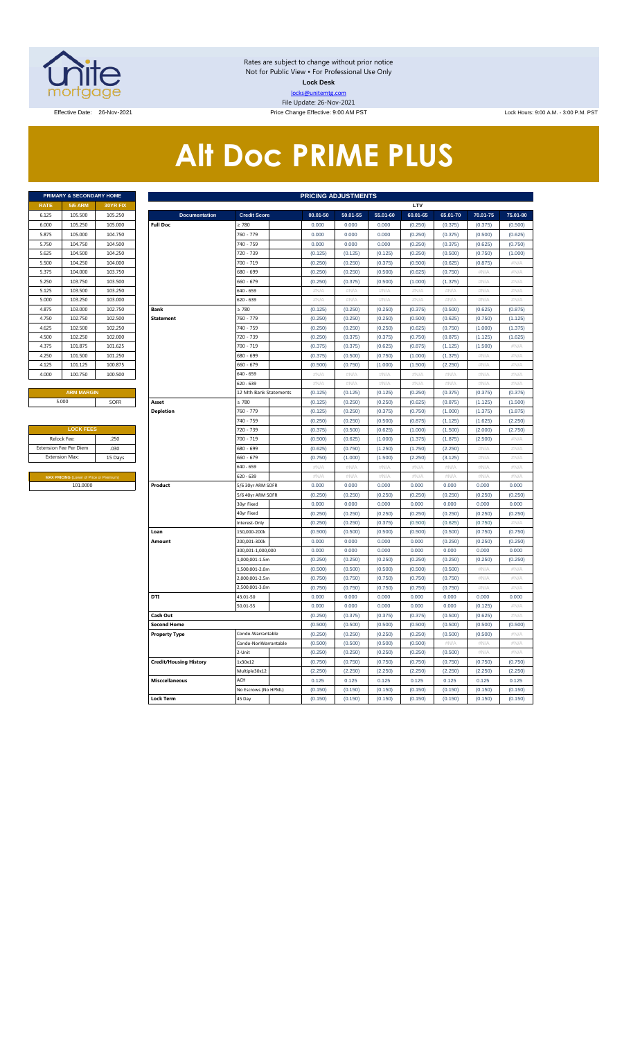

Rates are subject to change without prior notice Not for Public View • For Professional Use Only **Lock Desk** locks@unitemtg.com File Update: 26-Nov-2021

Effective: 9:00 AM PST Lock Hours: 9:00 AM. - 3:00 P.M. PST Lock Hours: 9:00 AM. - 3:00 P.M. PST

# **Alt Doc PRIME PLUS**

|             | <b>PRIMARY &amp; SECONDARY HOME</b> |                 |
|-------------|-------------------------------------|-----------------|
| <b>RATE</b> | <b>5/6 ARM</b>                      | <b>30YR FIX</b> |
| 6.125       | 105.500                             | 105.250         |
| 6.000       | 105.250                             | 105,000         |
| 5.875       | 105.000                             | 104.750         |
| 5.750       | 104.750                             | 104.500         |
| 5.625       | 104.500                             | 104.250         |
| 5.500       | 104.250                             | 104.000         |
| 5.375       | 104.000                             | 103.750         |
| 5.250       | 103.750                             | 103.500         |
| 5.125       | 103.500                             | 103.250         |
| 5.000       | 103.250                             | 103.000         |
| 4.875       | 103.000                             | 102.750         |
| 4.750       | 102.750                             | 102.500         |
| 4.625       | 102.500                             | 102.250         |
| 4.500       | 102.250                             | 102,000         |
| 4.375       | 101.875                             | 101.625         |
| 4.250       | 101.500                             | 101.250         |
| 4.125       | 101.125                             | 100.875         |
| 4.000       | 100.750                             | 100.500         |
|             |                                     |                 |

| <b>LOCK FEES</b>                               |         |
|------------------------------------------------|---------|
| Relock Fee:                                    | .250    |
| <b>Extension Fee Per Diem</b>                  | .030    |
| <b>Extension Max:</b>                          | 15 Days |
|                                                |         |
| <b>MAX PRICING (Lower of Price or Premium)</b> |         |
| 101.0000                                       |         |

|                       | PRIMARY & SECONDARY HOME                            |          |                               |                                 | <b>PRICING ADJUSTMENTS</b> |               |               |               |                  |                           |                   |  |  |
|-----------------------|-----------------------------------------------------|----------|-------------------------------|---------------------------------|----------------------------|---------------|---------------|---------------|------------------|---------------------------|-------------------|--|--|
| <b>RATE</b>           | <b>5/6 ARM</b>                                      | 30YR FIX |                               |                                 |                            |               |               | LTV           |                  |                           |                   |  |  |
| 6.125                 | 105.500                                             | 105.250  | <b>Documentation</b>          | <b>Credit Score</b>             | 00.01-50                   | 50.01-55      | 55.01-60      | 60.01-65      | 65.01-70         | 70.01-75                  | 75.01-80          |  |  |
| 6.000                 | 105.250                                             | 105,000  | <b>Full Doc</b>               | 2780                            | 0.000                      | 0.000         | 0.000         | (0.250)       | (0.375)          | (0.375)                   | (0.500)           |  |  |
| 5.875                 | 105.000                                             | 104.750  |                               | 760 - 779                       | 0.000                      | 0.000         | 0.000         | (0.250)       | (0.375)          | (0.500)                   | (0.625)           |  |  |
| 5.750                 | 104.750                                             | 104.500  |                               | 740 - 759                       | 0.000                      | 0.000         | 0.000         | (0.250)       | (0.375)          | (0.625)                   | (0.750)           |  |  |
| 5.625                 | 104.500                                             | 104.250  |                               | 720 - 739                       | (0.125)                    | (0.125)       | (0.125)       | (0.250)       | (0.500)          | (0.750)                   | (1.000)           |  |  |
| 5.500                 | 104.250                                             | 104.000  |                               | 700 - 719                       | (0.250)                    | (0.250)       | (0.375)       | (0.500)       | (0.625)          | (0.875)                   | #N/A              |  |  |
| 5.375                 | 104.000                                             | 103.750  |                               | 680 - 699                       | (0.250)                    | (0.250)       | (0.500)       | (0.625)       | (0.750)          | #N/A                      | #N/A              |  |  |
| 5.250                 | 103.750                                             | 103.500  |                               | 660 - 679                       | (0.250)                    | (0.375)       | (0.500)       | (1.000)       | (1.375)          | #N/A                      | $\#N/A$           |  |  |
| 5.125                 | 103.500                                             | 103.250  |                               | 640 - 659                       | $\#N/A$                    | #N/A          | #N/A          | $\#N/A$       | #N/A             | #N/A                      | $\#N/\beta$       |  |  |
| 5.000                 | 103.250                                             | 103.000  |                               | 620 - 639                       | #N/A                       | #N/A          | #N/A          | #N/A          | #N/A             | #N/A                      | #N/A              |  |  |
| 4.875                 | 103.000                                             | 102.750  | <b>Bank</b>                   | $\geq 780$                      | (0.125)                    | (0.250)       | (0.250)       | (0.375)       | (0.500)          | (0.625)                   | (0.875)           |  |  |
| 4.750                 | 102.750                                             | 102.500  | <b>Statement</b>              | 760 - 779                       | (0.250)                    | (0.250)       | (0.250)       | (0.500)       | (0.625)          | (0.750)                   | (1.125)           |  |  |
| 4.625                 | 102.500                                             | 102.250  |                               | 740 - 759                       | (0.250)                    | (0.250)       | (0.250)       | (0.625)       | (0.750)          | (1.000)                   | (1.375)           |  |  |
| 4.500                 | 102.250                                             | 102.000  |                               | 720 - 739                       | (0.250)                    | (0.375)       | (0.375)       | (0.750)       | (0.875)          | (1.125)                   | (1.625)           |  |  |
| 4.375                 | 101.875                                             | 101.625  |                               | 700 - 719                       | (0.375)                    | (0.375)       | (0.625)       | (0.875)       | (1.125)          | (1.500)                   | #N/A              |  |  |
| 4.250                 | 101.500                                             | 101.250  |                               | 680 - 699                       | (0.375)                    | (0.500)       | (0.750)       | (1.000)       | (1.375)          | # $N/A$                   | #N/A              |  |  |
| 4.125                 | 101.125                                             | 100.875  |                               | 660 - 679                       | (0.500)                    | (0.750)       | (1.000)       | (1.500)       | (2.250)          | #N/A                      | #N/A              |  |  |
| 4.000                 | 100.750                                             | 100.500  |                               | 640 - 659                       | #N/A                       | $\#N/A$       | #N/A          | $\#N/A$       | #N/A             | #N/A                      | #N/A              |  |  |
|                       |                                                     |          |                               | 620 - 639                       | #N/A                       | $\#N/A$       | #N/A          | #N/A          | #N/A             | #N/A                      | #N/A              |  |  |
|                       | <b>ARM MARGIN</b>                                   |          |                               | 12 Mth Bank Statements          | (0.125)                    | (0.125)       | (0.125)       | (0.250)       | (0.375)          | (0.375)                   | (0.375)           |  |  |
|                       | 5.000                                               | SOFR     | Asset                         | $\geq 780$                      | (0.125)                    | (0.250)       | (0.250)       | (0.625)       | (0.875)          | (1.125)                   | (1.500)           |  |  |
|                       |                                                     |          | <b>Depletion</b>              | 760 - 779                       | (0.125)                    | (0.250)       | (0.375)       | (0.750)       | (1.000)          | (1.375)                   | (1.875)           |  |  |
|                       |                                                     |          |                               | 740 - 759                       | (0.250)                    | (0.250)       | (0.500)       | (0.875)       | (1.125)          | (1.625)                   | (2.250)           |  |  |
|                       | <b>LOCK FEES</b>                                    |          |                               | 720 - 739                       | (0.375)                    | (0.500)       | (0.625)       | (1.000)       | (1.500)          | (2.000)                   | (2.750)           |  |  |
|                       | Relock Fee:                                         | .250     |                               | 700 - 719                       | (0.500)                    | (0.625)       | (1.000)       | (1.375)       | (1.875)          | (2.500)                   | $\#N/A$           |  |  |
|                       | xtension Fee Per Diem                               | .030     |                               | 580 - 699                       | (0.625)                    | (0.750)       | (1.250)       | (1.750)       | (2.250)          | $\#\mathbb{N}/\mathbb{N}$ | #N/A              |  |  |
| <b>Extension Max:</b> |                                                     | 15 Days  |                               | 660 - 679                       | (0.750)                    | (1.000)       | (1.500)       | (2.250)       | (3.125)          | #N/A                      | #N/A              |  |  |
|                       |                                                     |          |                               | 640 - 659                       | #N/A                       | #N/A          | #N/A          | #N/A          | #N/A             | #N/A                      | #N/A              |  |  |
|                       | MAX PRICING (Lower of Price or Premium)<br>101.0000 |          | Product                       | 620 - 639                       | #N/A<br>0.000              | #N/A<br>0.000 | #N/A<br>0.000 | #N/A<br>0.000 | $\#N/A$<br>0.000 | #N/A<br>0.000             | #N/A<br>0.000     |  |  |
|                       |                                                     |          |                               | 5/6 30yr ARM SOFR               | (0.250)                    | (0.250)       | (0.250)       | (0.250)       | (0.250)          | (0.250)                   | (0.250)           |  |  |
|                       |                                                     |          |                               | 5/6 40yr ARM SOFR<br>30yr Fixed | 0.000                      | 0.000         | 0.000         | 0.000         | 0.000            | 0.000                     | 0.000             |  |  |
|                       |                                                     |          |                               | 40yr Fixed                      | (0.250)                    | (0.250)       | (0.250)       | (0.250)       | (0.250)          | (0.250)                   | (0.250)           |  |  |
|                       |                                                     |          |                               | Interest-Only                   | (0.250)                    | (0.250)       | (0.375)       | (0.500)       | (0.625)          | (0.750)                   | #N/A              |  |  |
|                       |                                                     |          | Loan                          | 150,000-200k                    | (0.500)                    | (0.500)       | (0.500)       | (0.500)       | (0.500)          | (0.750)                   | (0.750)           |  |  |
|                       |                                                     |          | Amount                        | 200,001-300k                    | 0.000                      | 0.000         | 0.000         | 0.000         | (0.250)          | (0.250)                   | (0.250)           |  |  |
|                       |                                                     |          |                               | 300,001-1,000,000               | 0.000                      | 0.000         | 0.000         | 0.000         | 0.000            | 0.000                     | 0.000             |  |  |
|                       |                                                     |          |                               | 1.000.001-1.5m                  | (0.250)                    | (0.250)       | (0.250)       | (0.250)       | (0.250)          | (0.250)                   | (0.250)           |  |  |
|                       |                                                     |          |                               | 1,500,001-2.0m                  | (0.500)                    | (0.500)       | (0.500)       | (0.500)       | (0.500)          | #N/A                      | #N/A              |  |  |
|                       |                                                     |          |                               | 2,000,001-2.5m                  | (0.750)                    | (0.750)       | (0.750)       | (0.750)       | (0.750)          | #N/A                      | #N/A              |  |  |
|                       |                                                     |          |                               | ,500,001-3.0m                   | (0.750)                    | (0.750)       | (0.750)       | (0.750)       | (0.750)          | $\#N/F$                   | $\#N/\mathcal{A}$ |  |  |
|                       |                                                     |          | DTI                           | 43.01-50                        | 0.000                      | 0.000         | 0.000         | 0.000         | 0.000            | 0.000                     | 0.000             |  |  |
|                       |                                                     |          |                               | 50.01-55                        | 0.000                      | 0.000         | 0.000         | 0.000         | 0.000            | (0.125)                   | $\#N/A$           |  |  |
|                       |                                                     |          | Cash Out                      |                                 | (0.250)                    | (0.375)       | (0.375)       | (0.375)       | (0.500)          | (0.625)                   | #N/A              |  |  |
|                       |                                                     |          | <b>Second Home</b>            |                                 | (0.500)                    | (0.500)       | (0.500)       | (0.500)       | (0.500)          | (0.500)                   | (0.500)           |  |  |
|                       |                                                     |          | <b>Property Type</b>          | Condo-Warrantable               | (0.250)                    | (0.250)       | (0.250)       | (0.250)       | (0.500)          | (0.500)                   | $\#N/A$           |  |  |
|                       |                                                     |          |                               | Condo-NonWarrantable            | (0.500)                    | (0.500)       | (0.500)       | (0.500)       | #N/A             | #N/A                      | #N/A              |  |  |
|                       |                                                     |          |                               | 2-Unit                          | (0.250)                    | (0.250)       | (0.250)       | (0.250)       | (0.500)          | #N/A                      | $\#N/A$           |  |  |
|                       |                                                     |          | <b>Credit/Housing History</b> | 1x30x12                         | (0.750)                    | (0.750)       | (0.750)       | (0.750)       | (0.750)          | (0.750)                   | (0.750)           |  |  |
|                       |                                                     |          |                               | Multiple30x12                   | (2.250)                    | (2.250)       | (2.250)       | (2.250)       | (2.250)          | (2.250)                   | (2.250)           |  |  |
|                       |                                                     |          | <b>Misccellaneous</b>         | ACH                             | 0.125                      | 0.125         | 0.125         | 0.125         | 0.125            | 0.125                     | 0.125             |  |  |
|                       |                                                     |          |                               | No Escrows (No HPML)            | (0.150)                    | (0.150)       | (0.150)       | (0.150)       | (0.150)          | (0.150)                   | (0.150)           |  |  |
|                       |                                                     |          | <b>Lock Term</b>              | 45 Day                          | (0.150)                    | (0.150)       | (0.150)       | (0.150)       | (0.150)          | (0.150)                   | (0.150)           |  |  |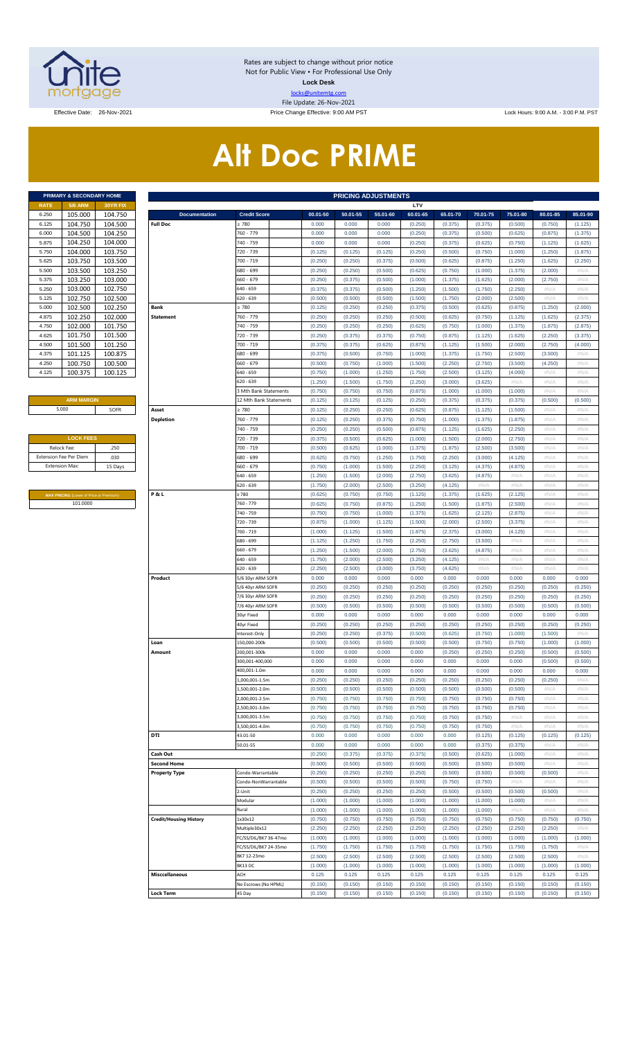

Rates are subject to change without prior notice Not for Public View • For Professional Use Only **Lock Desk** locks@unitemtg.com File Update: 26-Nov-2021

Effective Date: 26-Nov-2021 20-Nov-2021 Price Change Effective: 9:00 AM PST Lock Hours: 9:00 A.M. - 3:00 P.M. PST

# **Alt Doc PRIME**

|             | <b>PRIMARY &amp; SECONDARY HOME</b> |                 |
|-------------|-------------------------------------|-----------------|
| <b>RATE</b> | <b>5/6 ARM</b>                      | <b>30YR FIX</b> |
| 6.250       | 105.000                             | 104.750         |
| 6.125       | 104.750                             | 104.500         |
| 6.000       | 104.500                             | 104.250         |
| 5.875       | 104.250                             | 104.000         |
| 5.750       | 104.000                             | 103.750         |
| 5.625       | 103.750                             | 103.500         |
| 5.500       | 103.500                             | 103.250         |
| 5.375       | 103.250                             | 103.000         |
| 5.250       | 103.000                             | 102.750         |
| 5.125       | 102.750                             | 102.500         |
| 5.000       | 102.500                             | 102.250         |
| 4.875       | 102.250                             | 102.000         |
| 4.750       | 102.000                             | 101.750         |
| 4.625       | 101.750                             | 101.500         |
| 4.500       | 101.500                             | 101.250         |
| 4.375       | 101.125                             | 100.875         |
| 4.250       | 100.750                             | 100.500         |
| 4.125       | 100.375                             | 100.125         |

#### **ARM MARGIN** 5.000

| <b>LOCK FEES</b>              |         |
|-------------------------------|---------|
| Relock Fee:                   | .250    |
| <b>Extension Fee Per Diem</b> | .030    |
| <b>Extension Max:</b>         | 15 Days |
|                               |         |

**MAX PRICING** (Lower of Price or Premium) 101.0000

|                               | PRIMARY & SECONDARY HOME                       |                               |                            |          | <b>PRICING ADJUSTMENTS</b> |          |          |          |          |          |          |          |
|-------------------------------|------------------------------------------------|-------------------------------|----------------------------|----------|----------------------------|----------|----------|----------|----------|----------|----------|----------|
| <b>5/6 ARM</b><br><b>RATE</b> | 30YR FIX                                       |                               |                            |          |                            |          | LTV      |          |          |          |          |          |
| 105.000<br>6.250              | 104.750                                        | <b>Documentation</b>          | <b>Credit Score</b>        | 00.01-50 | 50.01-55                   | 55.01-60 | 60.01-65 | 65.01-70 | 70.01-75 | 75.01-80 | 80.01-85 | 85.01-90 |
| 104.750<br>6.125              | 104.500                                        | <b>Full Doc</b>               | ≥ 780                      | 0.000    | 0.000                      | 0.000    | (0.250)  | (0.375)  | (0.375)  | (0.500)  | (0.750)  | (1.125)  |
| 104.500<br>6.000              | 104.250                                        |                               | 760 - 779                  | 0.000    | 0.000                      | 0.000    | (0.250)  | (0.375)  | (0.500)  | (0.625)  | (0.875)  | (1.375)  |
| 104.250<br>5.875              | 104.000                                        |                               | 740 - 759                  | 0.000    | 0.000                      | 0.000    | (0.250)  | (0.375)  | (0.625)  | (0.750)  | (1.125)  | (1.625)  |
| 104.000<br>5.750              | 103.750                                        |                               | 720 - 739                  | (0.125)  | (0.125)                    | (0.125)  | (0.250)  | (0.500)  | (0.750)  | (1.000)  | (1.250)  | (1.875)  |
| 103.750                       | 103.500                                        |                               | 700 - 719                  | (0.250)  | (0.250)                    | (0.375)  | (0.500)  | (0.625)  | (0.875)  | (1.250)  | (1.625)  | (2.250)  |
| 103.500                       | 103.250                                        |                               | 680 - 699                  | (0.250)  | (0.250)                    | (0.500)  | (0.625)  | (0.750)  | (1.000)  | (1.375)  | (2.000)  | #N/A     |
| 103.250<br>5.375              | 103.000                                        |                               | 660 - 679                  | (0.250)  | (0.375)                    | (0.500)  | (1.000)  | (1.375)  | (1.625)  | (2.000)  | (2.750)  | #N/A     |
| 103.000<br>5.250              | 102.750                                        |                               | 640 - 659                  | (0.375)  | (0.375)                    | (0.500)  | (1.250)  | (1.500)  | (1.750)  | (2.250)  | #N/A     | #N/A     |
| 102.750<br>5.125              | 102.500                                        |                               | 520 - 639                  | (0.500)  | (0.500)                    | (0.500)  | (1.500)  | (1.750)  | (2.000)  | (2.500)  | #N/A     | #N/A     |
| 102.500<br>5.000              | 102.250                                        | Bank                          | 2780                       | (0.125)  | (0.250)                    | (0.250)  | (0.375)  | (0.500)  | (0.625)  | (0.875)  | (1.250)  | (2.000)  |
| 102.250<br>4.875              | 102.000                                        | <b>Statement</b>              | 760 - 779                  | (0.250)  | (0.250)                    | (0.250)  | (0.500)  | (0.625)  | (0.750)  | (1.125)  | (1.625)  | (2.375)  |
| 102.000<br>4.750              | 101.750                                        |                               | 740 - 759                  | (0.250)  | (0.250)                    | (0.250)  | (0.625)  | (0.750)  | (1.000)  | (1.375)  | (1.875)  | (2.875)  |
| 101.750<br>4.625              | 101.500                                        |                               | 720 - 739                  | (0.250)  | (0.375)                    | (0.375)  | (0.750)  | (0.875)  | (1.125)  | (1.625)  | (2.250)  | (3.375)  |
| 101.500<br>4.500              | 101.250                                        |                               | 700 - 719                  | (0.375)  | (0.375)                    | (0.625)  | (0.875)  | (1.125)  | (1.500)  | (2.000)  | (2.750)  | (4.000)  |
| 101.125                       | 100.875                                        |                               | 680 - 699                  | (0.375)  | (0.500)                    | (0.750)  | (1.000)  | (1.375)  | (1.750)  | (2.500)  | (3.500)  | #N/A     |
| 100.750                       | 100.500                                        |                               | 660 - 679                  | (0.500)  | (0.750)                    | (1.000)  | (1.500)  | (2.250)  | (2.750)  | (3.500)  | (4.250)  | #N/A     |
| 100.375                       | 100.125                                        |                               | 640 - 659                  | (0.750)  | (1.000)                    | (1.250)  | (1.750)  | (2.500)  | (3.125)  | (4.000)  | #N/A     | #N/A     |
|                               |                                                |                               | 620 - 639                  | (1.250)  | (1.500)                    | (1.750)  | (2.250)  | (3.000)  | (3.625)  | #N/A     | #N/A     | #N/A     |
|                               |                                                |                               | <b>Mth Bank Statements</b> | (0.750)  | (0.750)                    | (0.750)  | (0.875)  | (1.000)  | (1.000)  | (1.000)  | #N/A     | #N/A     |
| <b>ARM MARGIN</b>             |                                                |                               | 12 Mth Bank Statements     | (0.125)  | (0.125)                    | (0.125)  | (0.250)  | (0.375)  | (0.375)  | (0.375)  | (0.500)  | (0.500)  |
| 5.000                         | SOFR                                           | Asset                         | 2780                       | (0.125)  | (0.250)                    | (0.250)  | (0.625)  | (0.875)  | (1.125)  | (1.500)  | #N/A     | #N/A     |
|                               |                                                | <b>Depletion</b>              | 760 - 779                  | (0.125)  | (0.250)                    | (0.375)  | (0.750)  | (1.000)  | (1.375)  | (1.875)  | #N/A     | #N/A     |
|                               |                                                |                               |                            |          |                            |          |          |          |          |          |          |          |
| <b>LOCK FEES</b>              |                                                |                               | 740 - 759                  | (0.250)  | (0.250)                    | (0.500)  | (0.875)  | (1.125)  | (1.625)  | (2.250)  | $\#N/A$  | #N/A     |
|                               |                                                |                               | 720 - 739                  | (0.375)  | (0.500)                    | (0.625)  | (1.000)  | (1.500)  | (2.000)  | (2.750)  | $\#N/A$  | #N/A     |
| Relock Fee:                   | .250                                           |                               | 700 - 719                  | (0.500)  | (0.625)                    | (1.000)  | (1.375)  | (1.875)  | (2.500)  | (3.500)  | $\#N/A$  | #N/A     |
| xtension Fee Per Diem         | .030                                           |                               | 680 - 699                  | (0.625)  | (0.750)                    | (1.250)  | (1.750)  | (2.250)  | (3.000)  | (4.125)  | $\#N/A$  | #N/A     |
| <b>Extension Max:</b>         | 15 Days                                        |                               | 660 - 679                  | (0.750)  | (1.000)                    | (1.500)  | (2.250)  | (3.125)  | (4.375)  | (4.875)  | #N/A     | #N/A     |
|                               |                                                |                               | 640 - 659                  | (1.250)  | (1.500)                    | (2.000)  | (2.750)  | (3.625)  | (4.875)  | $\#N/A$  | $\#N/A$  | #N/A     |
|                               |                                                |                               | 620 - 639                  | (1.750)  | (2.000)                    | (2.500)  | (3.250)  | (4.125)  | #N/A     | $\#N/A$  | $\#N/A$  | #N/A     |
|                               | <b>MAX PRICING</b> (Lower of Price or Premium) | P&L                           | 2780                       | (0.625)  | (0.750)                    | (0.750)  | (1.125)  | (1.375)  | (1.625)  | (2.125)  | $\#N/A$  | #N/A     |
| 101.0000                      |                                                |                               | 760 - 779                  | (0.625)  | (0.750)                    | (0.875)  | (1.250)  | (1.500)  | (1.875)  | (2.500)  | $\#N/A$  | #N/A     |
|                               |                                                |                               | 740 - 759                  | (0.750)  | (0.750)                    | (1.000)  | (1.375)  | (1.625)  | (2.125)  | (2.875)  | $\#N/A$  | #N/A     |
|                               |                                                |                               | 720 - 739                  | (0.875)  | (1.000)                    | (1.125)  | (1.500)  | (2.000)  | (2.500)  | (3.375)  | $\#N/A$  | #N/A     |
|                               |                                                |                               | 700 - 719                  | (1.000)  | (1.125)                    | (1.500)  | (1.875)  | (2.375)  | (3.000)  | (4.125)  | $\#N/A$  | #N/A     |
|                               |                                                |                               | 680 - 699                  | (1.125)  | (1.250)                    | (1.750)  | (2.250)  | (2.750)  | (3.500)  | #N/A     | $\#N/A$  | #N/A     |
|                               |                                                |                               | 660 - 679                  | (1.250)  | (1.500)                    | (2.000)  | (2.750)  | (3.625)  | (4.875)  | $\#N/A$  | $\#N/A$  | #N/A     |
|                               |                                                |                               | 640 - 659                  | (1.750)  | (2.000)                    | (2.500)  | (3.250)  | (4.125)  | #N/A     | $\#N/A$  | #N/A     | #N/A     |
|                               |                                                |                               | 620 - 639                  | (2.250)  | (2.500)                    | (3.000)  | (3.750)  | (4.625)  | #N/A     | $\#N/A$  | $\#N/A$  | $\#N/A$  |
|                               |                                                | Product                       | 5/6 30yr ARM SOFR          | 0.000    | 0.000                      | 0.000    | 0.000    | 0.000    | 0.000    | 0.000    | 0.000    | 0.000    |
|                               |                                                |                               | 5/6 40yr ARM SOFR          | (0.250)  | (0.250)                    | (0.250)  | (0.250)  | (0.250)  | (0.250)  | (0.250)  | (0.250)  | (0.250)  |
|                               |                                                |                               | 7/6 30yr ARM SOFR          | (0.250)  | (0.250)                    | (0.250)  | (0.250)  | (0.250)  | (0.250)  | (0.250)  | (0.250)  | (0.250)  |
|                               |                                                |                               | 7/6 40yr ARM SOFR          | (0.500)  | (0.500)                    | (0.500)  | (0.500)  | (0.500)  | (0.500)  | (0.500)  | (0.500)  | (0.500)  |
|                               |                                                |                               | 30yr Fixed                 | 0.000    | 0.000                      | 0.000    | 0.000    | 0.000    | 0.000    | 0.000    | 0.000    | 0.000    |
|                               |                                                |                               | 40yr Fixed                 | (0.250)  | (0.250)                    | (0.250)  | (0.250)  | (0.250)  | (0.250)  | (0.250)  | (0.250)  | (0.250)  |
|                               |                                                |                               | nterest-Only               | (0.250)  | (0.250)                    | (0.375)  | (0.500)  | (0.625)  | (0.750)  | (1.000)  | (1.500)  | #N/A     |
|                               |                                                | Loan                          | 150,000-200k               | (0.500)  | (0.500)                    | (0.500)  | (0.500)  | (0.500)  | (0.750)  | (0.750)  | (1.000)  | (1.000)  |
|                               |                                                | Amount                        | 200,001-300k               | 0.000    | 0.000                      | 0.000    | 0.000    | (0.250)  | (0.250)  | (0.250)  | (0.500)  | (0.500)  |
|                               |                                                |                               | 300,001-400,000            | 0.000    | 0.000                      | 0.000    | 0.000    | 0.000    | 0.000    | 0.000    | (0.500)  | (0.500)  |
|                               |                                                |                               | 400,001-1.0m               | 0.000    | 0.000                      | 0.000    | 0.000    | 0.000    | 0.000    | 0.000    | 0.000    | 0.000    |
|                               |                                                |                               | 1,000,001-1.5m             | (0.250)  | (0.250)                    | (0.250)  | (0.250)  | (0.250)  | (0.250)  | (0.250)  | (0.250)  | #N/A     |
|                               |                                                |                               | 1,500,001-2.0m             |          |                            |          |          |          |          |          | $\#N/A$  | #N/A     |
|                               |                                                |                               | 2,000,001-2.5m             | (0.500)  | (0.500)                    | (0.500)  | (0.500)  | (0.500)  | (0.500)  | (0.500)  |          |          |
|                               |                                                |                               |                            | (0.750)  | (0.750)                    | (0.750)  | (0.750)  | (0.750)  | (0.750)  | (0.750)  | $\#N/A$  | #N/A     |
|                               |                                                |                               | 2,500,001-3.0m             | (0.750)  | (0.750)                    | (0.750)  | (0.750)  | (0.750)  | (0.750)  | (0.750)  | $\#N/A$  | #N/A     |
|                               |                                                |                               | 3,000,001-3.5m             | (0.750)  | (0.750)                    | (0.750)  | (0.750)  | (0.750)  | (0.750)  | $\#N/A$  | $\#N/A$  | #N/A     |
|                               |                                                |                               | 3,500,001-4.0m             | (0.750)  | (0.750)                    | (0.750)  | (0.750)  | (0.750)  | (0.750)  | $\#N/A$  | $\#N/A$  | #N/A     |
|                               |                                                | <b>DTI</b>                    | 43.01-50                   | 0.000    | 0.000                      | 0.000    | 0.000    | 0.000    | (0.125)  | (0.125)  | (0.125)  | (0.125)  |
|                               |                                                |                               | 50.01-55                   | 0.000    | 0.000                      | 0.000    | 0.000    | 0.000    | (0.375)  | (0.375)  | $\#N/A$  | #N/A     |
|                               |                                                | Cash Out                      |                            | (0.250)  | (0.375)                    | (0.375)  | (0.375)  | (0.500)  | (0.625)  | (1.000)  | $\#N/A$  | #N/A     |
|                               |                                                | <b>Second Home</b>            |                            | (0.500)  | (0.500)                    | (0.500)  | (0.500)  | (0.500)  | (0.500)  | (0.500)  | $\#N/A$  | #N/A     |
|                               |                                                | <b>Property Type</b>          | Condo-Warrantable          | (0.250)  | (0.250)                    | (0.250)  | (0.250)  | (0.500)  | (0.500)  | (0.500)  | (0.500)  | #N/A     |
|                               |                                                |                               | Condo-NonWarrantable       | (0.500)  | (0.500)                    | (0.500)  | (0.500)  | (0.750)  | (0.750)  | #N/A     | $\#N/A$  | #N/A     |
|                               |                                                |                               | 2-Unit                     | (0.250)  | (0.250)                    | (0.250)  | (0.250)  | (0.500)  | (0.500)  | (0.500)  | (0.500)  | #N/A     |
|                               |                                                |                               | Modular                    | (1.000)  | (1.000)                    | (1.000)  | (1.000)  | (1.000)  | (1.000)  | (1.000)  | $\#N/A$  | #N/A     |
|                               |                                                |                               | Rural                      | (1.000)  | (1.000)                    | (1.000)  | (1.000)  | (1.000)  | (1.000)  | $\#N/A$  | $\#N/A$  | #N/A     |
|                               |                                                | <b>Credit/Housing History</b> | 1x30x12                    | (0.750)  | (0.750)                    | (0.750)  | (0.750)  | (0.750)  | (0.750)  | (0.750)  | (0.750)  | (0.750)  |
|                               |                                                |                               | Multiple30x12              | (2.250)  | (2.250)                    | (2.250)  | (2.250)  | (2.250)  | (2.250)  | (2.250)  | (2.250)  | $\#N/A$  |
|                               |                                                |                               | C/SS/DIL/BK7 36-47mo       | (1.000)  | (1.000)                    | (1.000)  | (1.000)  | (1.000)  | (1.000)  | (1.000)  | (1.000)  | (1.000)  |
|                               |                                                |                               | C/SS/DIL/BK7 24-35mo       | (1.750)  | (1.750)                    | (1.750)  | (1.750)  | (1.750)  | (1.750)  | (1.750)  | (1.750)  | #N/A     |
|                               |                                                |                               | BK7 12-23mo                | (2.500)  | (2.500)                    | (2.500)  | (2.500)  | (2.500)  | (2.500)  | (2.500)  | (2.500)  | #N/A     |
|                               |                                                |                               | BK13 DC                    | (1.000)  | (1.000)                    | (1.000)  | (1.000)  | (1.000)  | (1.000)  | (1.000)  | (1.000)  | (1.000)  |
|                               |                                                | <b>Misccellaneous</b>         | ACH                        | 0.125    | 0.125                      | 0.125    | 0.125    | 0.125    | 0.125    | 0.125    | 0.125    | 0.125    |
|                               |                                                |                               |                            |          |                            |          |          |          |          |          |          |          |
|                               |                                                |                               | No Escrows (No HPML)       | (0.150)  | (0.150)                    | (0.150)  | (0.150)  | (0.150)  | (0.150)  | (0.150)  | (0.150)  | (0.150)  |
|                               |                                                | <b>Lock Term</b>              | 45 Day                     | (0.150)  | (0.150)                    | (0.150)  | (0.150)  | (0.150)  | (0.150)  | (0.150)  | (0.150)  | (0.150)  |
|                               |                                                |                               |                            |          |                            |          |          |          |          |          |          |          |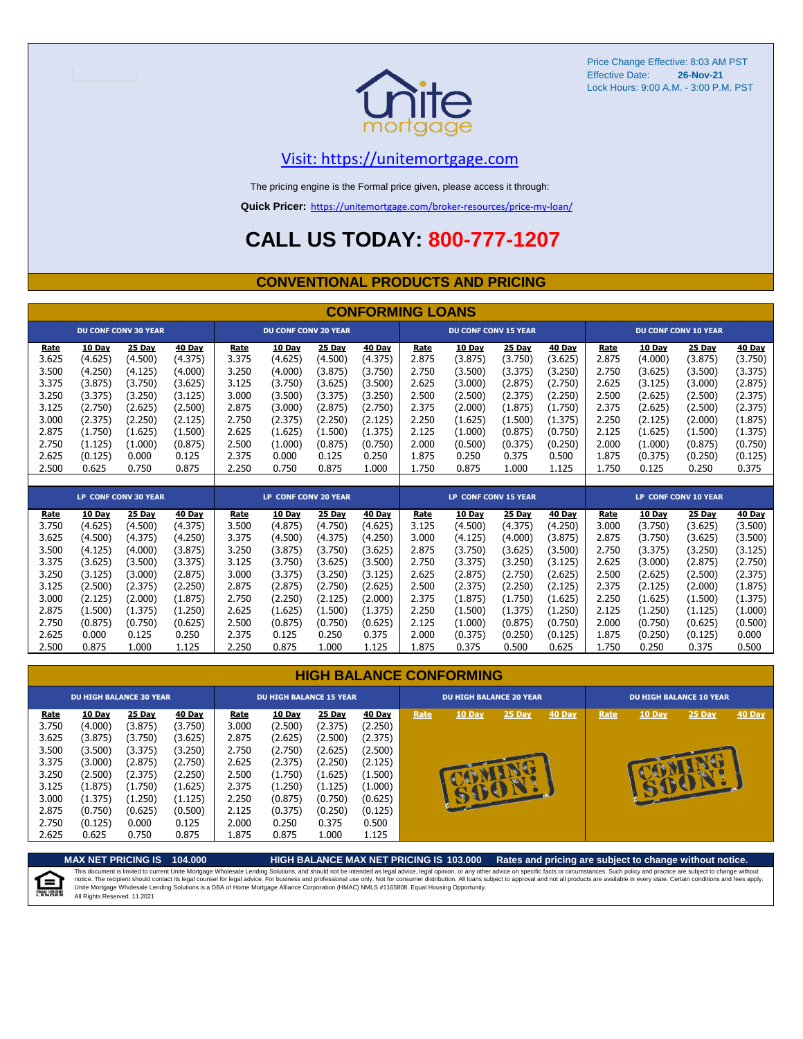

#### [V](https://unitemortgage.com/)isit: https://unitemortgage.com

The pricing engine is the Formal price given, please access it through:

**Quick Pricer:** [https://un](https://unitemortgage.com/broker-resources/price-my-loan/)itemortgage.com/broker-resources/price-my-loan/

### **CALL US TODAY: 800-777-1207**

#### **CONVENTIONAL PRODUCTS AND PRICING**

|       | <b>CONFORMING LOANS</b> |                             |         |       |                             |         |         |                             |                             |         |         |       |         |                             |         |
|-------|-------------------------|-----------------------------|---------|-------|-----------------------------|---------|---------|-----------------------------|-----------------------------|---------|---------|-------|---------|-----------------------------|---------|
|       |                         | <b>DU CONF CONV 30 YEAR</b> |         |       | <b>DU CONF CONV 20 YEAR</b> |         |         | <b>DU CONF CONV 15 YEAR</b> |                             |         |         |       |         | <b>DU CONF CONV 10 YEAR</b> |         |
| Rate  | 10 Day                  | 25 Day                      | 40 Day  | Rate  | 10 Day                      | 25 Day  | 40 Day  | Rate                        | 10 Day                      | 25 Day  | 40 Day  | Rate  | 10 Day  | 25 Day                      | 40 Day  |
| 3.625 | (4.625)                 | (4.500)                     | (4.375) | 3.375 | (4.625)                     | (4.500) | (4.375) | 2.875                       | (3.875)                     | (3.750) | (3.625) | 2.875 | (4.000) | (3.875)                     | (3.750) |
| 3.500 | (4.250)                 | (4.125)                     | (4.000) | 3.250 | (4.000)                     | (3.875) | (3.750) | 2.750                       | (3.500)                     | (3.375) | (3.250) | 2.750 | (3.625) | (3.500)                     | (3.375) |
| 3.375 | (3.875)                 | (3.750)                     | (3.625) | 3.125 | (3.750)                     | (3.625) | (3.500) | 2.625                       | (3.000)                     | (2.875) | (2.750) | 2.625 | (3.125) | (3.000)                     | (2.875) |
| 3.250 | (3.375)                 | (3.250)                     | (3.125) | 3.000 | (3.500)                     | (3.375) | (3.250) | 2.500                       | (2.500)                     | (2.375) | (2.250) | 2.500 | (2.625) | (2.500)                     | (2.375) |
| 3.125 | (2.750)                 | (2.625)                     | (2.500) | 2.875 | (3.000)                     | (2.875) | (2.750) | 2.375                       | (2.000)                     | (1.875) | (1.750) | 2.375 | (2.625) | (2.500)                     | (2.375) |
| 3.000 | (2.375)                 | (2.250)                     | (2.125) | 2.750 | (2.375)                     | (2.250) | (2.125) | 2.250                       | (1.625)                     | (1.500) | (1.375) | 2.250 | (2.125) | (2.000)                     | (1.875) |
| 2.875 | (1.750)                 | (1.625)                     | (1.500) | 2.625 | (1.625)                     | (1.500) | (1.375) | 2.125                       | (1.000)                     | (0.875) | (0.750) | 2.125 | (1.625) | (1.500)                     | (1.375) |
| 2.750 | (1.125)                 | (1.000)                     | (0.875) | 2.500 | (1.000)                     | (0.875) | (0.750) | 2.000                       | (0.500)                     | (0.375) | (0.250) | 2.000 | (1.000) | (0.875)                     | (0.750) |
| 2.625 | (0.125)                 | 0.000                       | 0.125   | 2.375 | 0.000                       | 0.125   | 0.250   | 1.875                       | 0.250                       | 0.375   | 0.500   | 1.875 | (0.375) | (0.250)                     | (0.125) |
| 2.500 | 0.625                   | 0.750                       | 0.875   | 2.250 | 0.750                       | 0.875   | 1.000   | 1.750                       | 0.875                       | 1.000   | 1.125   | 1.750 | 0.125   | 0.250                       | 0.375   |
|       |                         |                             |         |       |                             |         |         |                             |                             |         |         |       |         |                             |         |
|       |                         | <b>LP CONF CONV 30 YEAR</b> |         |       | LP CONF CONV 20 YEAR        |         |         |                             | <b>LP CONF CONV 15 YEAR</b> |         |         |       |         | LP CONF CONV 10 YEAR        |         |
|       |                         |                             |         |       |                             |         |         |                             |                             |         |         |       |         |                             |         |
| Rate  | 10 Day                  | <b>25 Day</b>               | 40 Day  | Rate  | 10 Day                      | 25 Day  | 40 Day  | Rate                        | 10 Day                      | 25 Day  | 40 Day  | Rate  | 10 Day  | 25 Day                      | 40 Day  |
| 3.750 | (4.625)                 | (4.500)                     | (4.375) | 3.500 | (4.875)                     | (4.750) | (4.625) | 3.125                       | (4.500)                     | (4.375) | (4.250) | 3.000 | (3.750) | (3.625)                     | (3.500) |
| 3.625 | (4.500)                 | (4.375)                     | (4.250) | 3.375 | (4.500)                     | (4.375) | (4.250) | 3.000                       | (4.125)                     | (4.000) | (3.875) | 2.875 | (3.750) | (3.625)                     | (3.500) |
| 3.500 | (4.125)                 | (4.000)                     | (3.875) | 3.250 | (3.875)                     | (3.750) | (3.625) | 2.875                       | (3.750)                     | (3.625) | (3.500) | 2.750 | (3.375) | (3.250)                     | (3.125) |
| 3.375 | (3.625)                 | (3.500)                     | (3.375) | 3.125 | (3.750)                     | (3.625) | (3.500) | 2.750                       | (3.375)                     | (3.250) | (3.125) | 2.625 | (3.000) | (2.875)                     | (2.750) |
| 3.250 | (3.125)                 | (3.000)                     | (2.875) | 3.000 | (3.375)                     | (3.250) | (3.125) | 2.625                       | (2.875)                     | (2.750) | (2.625) | 2.500 | (2.625) | (2.500)                     | (2.375) |
| 3.125 | (2.500)                 | (2.375)                     | (2.250) | 2.875 | (2.875)                     | (2.750) | (2.625) | 2.500                       | (2.375)                     | (2.250) | (2.125) | 2.375 | (2.125) | (2.000)                     | (1.875) |
| 3.000 | (2.125)                 | (2.000)                     | (1.875) | 2.750 | (2.250)                     | (2.125) | (2.000) | 2.375                       | (1.875)                     | (1.750) | (1.625) | 2.250 | (1.625) | (1.500)                     | (1.375) |
| 2.875 | (1.500)                 | (1.375)                     | (1.250) | 2.625 | (1.625)                     | (1.500) | (1.375) | 2.250                       | (1.500)                     | (1.375) | (1.250) | 2.125 | (1.250) | (1.125)                     | (1.000) |
| 2.750 | (0.875)                 | (0.750)                     | (0.625) | 2.500 | (0.875)                     | (0.750) | (0.625) | 2.125                       | (1.000)                     | (0.875) | (0.750) | 2.000 | (0.750) | (0.625)                     | (0.500) |

| <b>HIGH BALANCE CONFORMING</b> |  |
|--------------------------------|--|
|                                |  |

2.500 0.875 1.000 1.125 2.250 0.875 1.000 1.125 1.875 0.375 0.500 0.625 1.750 0.250 0.375 0.500

|                                                                                                | <b>DU HIGH BALANCE 30 YEAR</b>                                                                                     |                                                                                                                  |                                                                                                                  | <b>DU HIGH BALANCE 15 YEAR</b>                                                                 |                                                                                                                         |                                                                                                                  |                                                                                                                  |      | <b>DU HIGH BALANCE 20 YEAR</b> |              |               | <b>DU HIGH BALANCE 10 YEAR</b> |        |               |               |  |
|------------------------------------------------------------------------------------------------|--------------------------------------------------------------------------------------------------------------------|------------------------------------------------------------------------------------------------------------------|------------------------------------------------------------------------------------------------------------------|------------------------------------------------------------------------------------------------|-------------------------------------------------------------------------------------------------------------------------|------------------------------------------------------------------------------------------------------------------|------------------------------------------------------------------------------------------------------------------|------|--------------------------------|--------------|---------------|--------------------------------|--------|---------------|---------------|--|
| Rate<br>3.750<br>3.625<br>3.500<br>3.375<br>3.250<br>3.125<br>3.000<br>2.875<br>2.750<br>2.625 | 10 Day<br>(4.000)<br>(3.875)<br>(3.500)<br>(3.000)<br>(2.500)<br>(1.875)<br>(1.375)<br>(0.750)<br>(0.125)<br>0.625 | 25 Day<br>(3.875)<br>(3.750)<br>(3.375)<br>(2.875)<br>(2.375)<br>(1.750)<br>(1.250)<br>(0.625)<br>0.000<br>0.750 | 40 Day<br>(3.750)<br>(3.625)<br>(3.250)<br>(2.750)<br>(2.250)<br>(1.625)<br>(1.125)<br>(0.500)<br>0.125<br>0.875 | Rate<br>3.000<br>2.875<br>2.750<br>2.625<br>2.500<br>2.375<br>2.250<br>2.125<br>2.000<br>1.875 | <b>10 Day</b><br>(2.500)<br>(2.625)<br>(2.750)<br>(2.375)<br>(1.750)<br>(1.250)<br>(0.875)<br>(0.375)<br>0.250<br>0.875 | 25 Day<br>(2.375)<br>(2.500)<br>(2.625)<br>(2.250)<br>(1.625)<br>(1.125)<br>(0.750)<br>(0.250)<br>0.375<br>1.000 | 40 Day<br>(2.250)<br>(2.375)<br>(2.500)<br>(2.125)<br>(1.500)<br>(1.000)<br>(0.625)<br>(0.125)<br>0.500<br>1.125 | Rate | 10 Day                         | 25 Day<br>ēМ | <b>40 Day</b> | Rate                           | 10 Day | <b>25 Day</b> | <b>40 Day</b> |  |

**MAX NET PRICING IS 104.000 HIGH BALANCE MAX NET PRICING IS 103.000 Rates and pricing are subject to change without notice.** This document is limited to current Unite Mortgage Wholesale Lending Solutions, and should not be intended as legal advice, legal opinion, or any other advice on specific facts or circumstances. Such policy and practice ar E) All Rights Reserved. 11.2021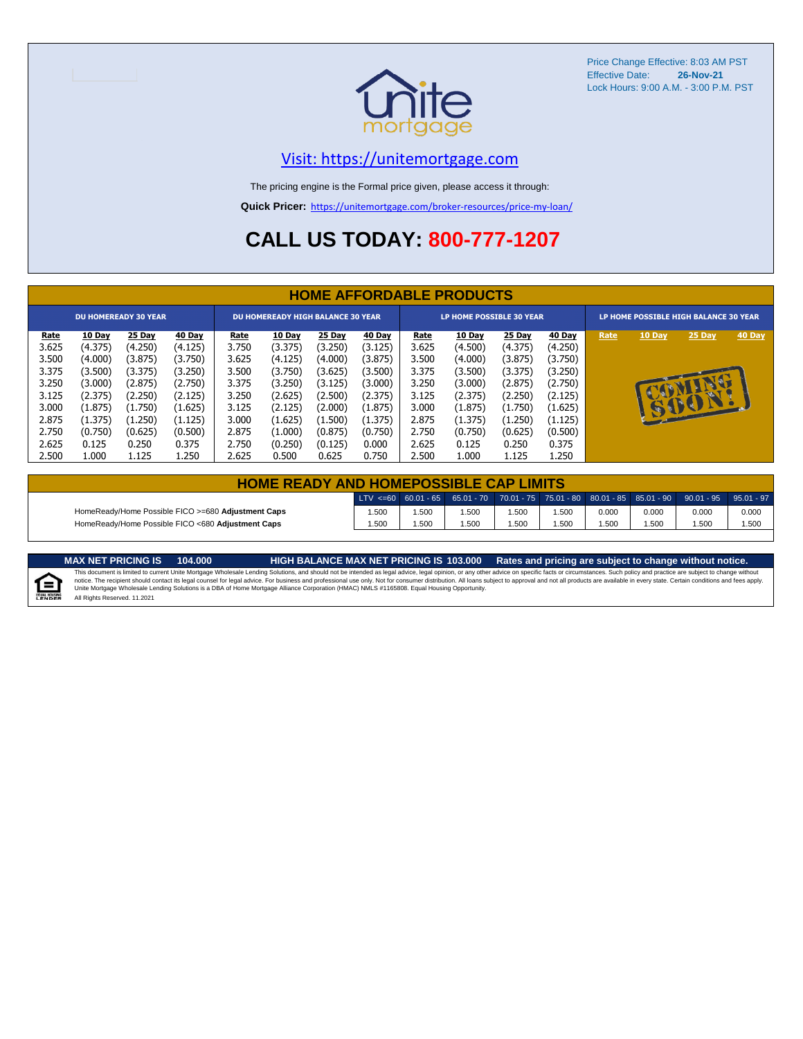

#### [V](https://unitemortgage.com/)isit: https://unitemortgage.com

The pricing engine is the Formal price given, please access it through:

**Quick Pricer:** [https://un](https://unitemortgage.com/broker-resources/price-my-loan/)itemortgage.com/broker-resources/price-my-loan/

### **CALL US TODAY: 800-777-1207**

|                             | <b>HOME AFFORDABLE PRODUCTS</b> |         |         |                                          |               |         |               |             |                                 |         |         |                                       |              |              |        |
|-----------------------------|---------------------------------|---------|---------|------------------------------------------|---------------|---------|---------------|-------------|---------------------------------|---------|---------|---------------------------------------|--------------|--------------|--------|
| <b>DU HOMEREADY 30 YEAR</b> |                                 |         |         | <b>DU HOMEREADY HIGH BALANCE 30 YEAR</b> |               |         |               |             | <b>LP HOME POSSIBLE 30 YEAR</b> |         |         | LP HOME POSSIBLE HIGH BALANCE 30 YEAR |              |              |        |
| <u>Rate</u>                 | 10 Day                          | 25 Day  | 40 Day  | <u>Rate</u>                              | <b>10 Day</b> | 25 Day  | <b>40 Day</b> | <u>Rate</u> | <b>10 Day</b>                   | 25 Day  | 40 Day  | Rate                                  | 10 Day       | 25 Day       | 40 Day |
| 3.625                       | (4.375)                         | (4.250) | (4.125) | 3.750                                    | (3.375)       | (3.250) | (3.125)       | 3.625       | (4.500)                         | (4.375) | (4.250) |                                       |              |              |        |
| 3.500                       | (4.000)                         | (3.875) | (3.750) | 3.625                                    | (4.125)       | (4.000) | (3.875)       | 3.500       | (4.000)                         | (3.875) | (3.750) |                                       |              |              |        |
| 3.375                       | (3.500)                         | (3.375) | (3.250) | 3.500                                    | (3.750)       | (3.625) | (3.500)       | 3.375       | (3.500)                         | (3.375) | (3.250) |                                       |              |              |        |
| 3.250                       | (3.000)                         | (2.875) | (2.750) | 3.375                                    | (3.250)       | (3.125) | (3.000)       | 3.250       | (3.000)                         | (2.875) | (2.750) |                                       |              |              |        |
| 3.125                       | (2.375)                         | (2.250) | (2.125) | 3.250                                    | (2.625)       | (2.500) | (2.375)       | 3.125       | (2.375)                         | (2.250) | (2.125) |                                       |              |              |        |
| 3.000                       | (1.875)                         | (1.750) | (1.625) | 3.125                                    | (2.125)       | (2.000) | (1.875)       | 3.000       | (1.875)                         | (1.750) | (1.625) |                                       | $\mathbf{F}$ | $\mathbf{P}$ |        |
| 2.875                       | (1.375)                         | (1.250) | (1.125) | 3.000                                    | (1.625)       | (1.500) | (1.375)       | 2.875       | (1.375)                         | (1.250) | (1.125) |                                       |              |              |        |
| 2.750                       | (0.750)                         | (0.625) | (0.500) | 2.875                                    | (1.000)       | (0.875) | (0.750)       | 2.750       | (0.750)                         | (0.625) | (0.500) |                                       |              |              |        |
| 2.625                       | 0.125                           | 0.250   | 0.375   | 2.750                                    | (0.250)       | (0.125) | 0.000         | 2.625       | 0.125                           | 0.250   | 0.375   |                                       |              |              |        |
| 2.500                       | 1.000                           | 1.125   | 1.250   | 2.625                                    | 0.500         | 0.625   | 0.750         | 2.500       | 1.000                           | 1.125   | 1.250   |                                       |              |              |        |

| <b>HOME READY AND HOMEPOSSIBLE CAP LIMITS</b>                                                    |       |      |      |      |       |       |       |       |       |  |  |  |
|--------------------------------------------------------------------------------------------------|-------|------|------|------|-------|-------|-------|-------|-------|--|--|--|
| LTV <=60 60.01 - 65 65.01 - 70 70.01 - 75 75.01 - 80 80.01 - 85 85.01 - 90 90.01 - 95 95.01 - 97 |       |      |      |      |       |       |       |       |       |  |  |  |
| HomeReady/Home Possible FICO >=680 Adjustment Caps                                               | .500  | .500 | .500 | .500 | 1.500 | 0.000 | 0.000 | 0.000 | 0.000 |  |  |  |
| HomeReady/Home Possible FICO <680 Adjustment Caps                                                | 1.500 | .500 | .500 | .500 | .500  | .500  | .500  | .500  | 1.500 |  |  |  |

MAX NET PRICING IS 103.000 Rates and pricing are subject to change without notice.<br>This document is limited to current Unite Mortgage Wholesale Lending Solutions, and should not be intended as legal advice, legal opinion,



All Rights Reserved. 11.2021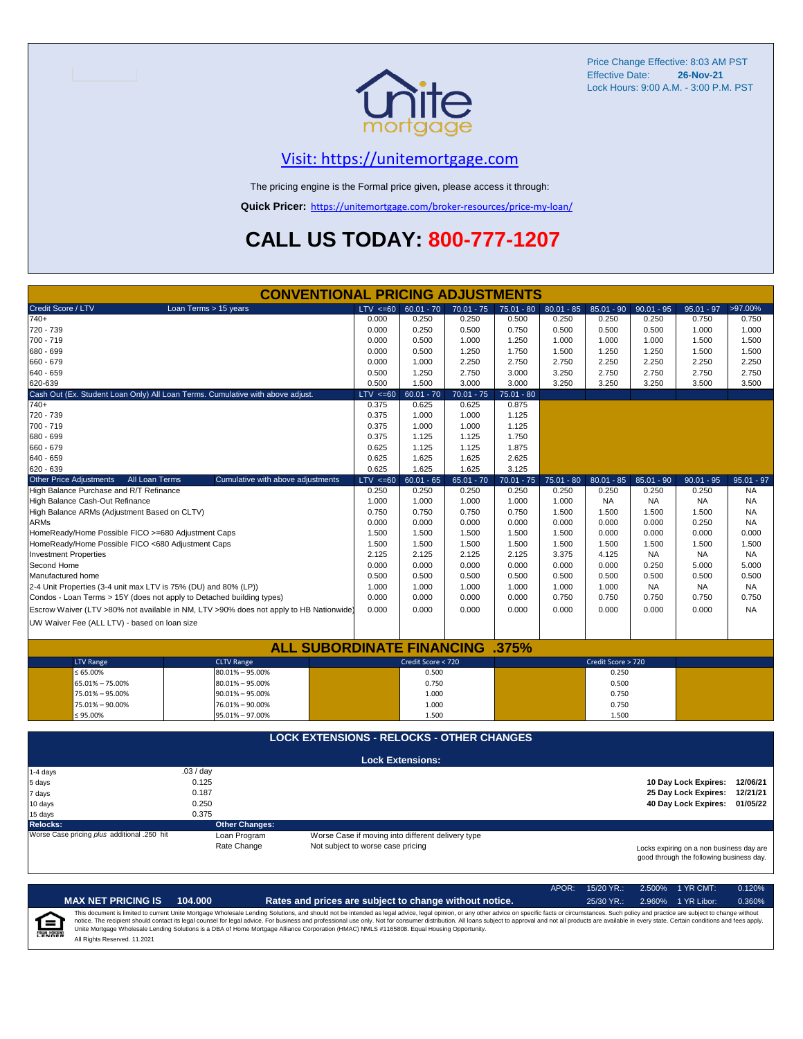

#### [V](https://unitemortgage.com/)isit: https://unitemortgage.com

The pricing engine is the Formal price given, please access it through:

**Quick Pricer:** [https://un](https://unitemortgage.com/broker-resources/price-my-loan/)itemortgage.com/broker-resources/price-my-loan/

## **CALL US TODAY: 800-777-1207**

|                                                                                 | <b>CONVENTIONAL PRICING ADJUSTMENTS</b>                                                |                                   |                                                   |                |                |                |                    |                    |                                                                                      |                        |
|---------------------------------------------------------------------------------|----------------------------------------------------------------------------------------|-----------------------------------|---------------------------------------------------|----------------|----------------|----------------|--------------------|--------------------|--------------------------------------------------------------------------------------|------------------------|
| Credit Score / LTV                                                              | Loan Terms > 15 years                                                                  | $LTV \le 60$                      | $60.01 - 70$                                      | $70.01 - 75$   | $75.01 - 80$   | $80.01 - 85$   | $85.01 - 90$       | $90.01 - 95$       | $95.01 - 97$                                                                         | >97.00%                |
| $740+$                                                                          |                                                                                        | 0.000                             | 0.250                                             | 0.250          | 0.500          | 0.250          | 0.250              | 0.250              | 0.750                                                                                | 0.750                  |
| 720 - 739                                                                       |                                                                                        | 0.000                             | 0.250                                             | 0.500          | 0.750          | 0.500          | 0.500              | 0.500              | 1.000                                                                                | 1.000                  |
| 700 - 719                                                                       |                                                                                        | 0.000                             | 0.500                                             | 1.000          | 1.250          | 1.000          | 1.000              | 1.000              | 1.500                                                                                | 1.500                  |
| 680 - 699                                                                       |                                                                                        | 0.000                             | 0.500                                             | 1.250          | 1.750          | 1.500          | 1.250              | 1.250              | 1.500                                                                                | 1.500                  |
| 660 - 679                                                                       |                                                                                        | 0.000                             | 1.000                                             | 2.250          | 2.750          | 2.750          | 2.250              | 2.250              | 2.250                                                                                | 2.250                  |
| 640 - 659                                                                       |                                                                                        | 0.500                             | 1.250                                             | 2.750          | 3.000          | 3.250          | 2.750              | 2.750              | 2.750                                                                                | 2.750                  |
| 620-639                                                                         |                                                                                        | 0.500                             | 1.500                                             | 3.000          | 3.000          | 3.250          | 3.250              | 3.250              | 3.500                                                                                | 3.500                  |
|                                                                                 | Cash Out (Ex. Student Loan Only) All Loan Terms. Cumulative with above adjust.         | $LTV \le 60$                      | $60.01 - 70$                                      | $70.01 - 75$   | $75.01 - 80$   |                |                    |                    |                                                                                      |                        |
| $740+$                                                                          |                                                                                        | 0.375                             | 0.625                                             | 0.625          | 0.875          |                |                    |                    |                                                                                      |                        |
| 720 - 739                                                                       |                                                                                        | 0.375                             | 1.000                                             | 1.000          | 1.125          |                |                    |                    |                                                                                      |                        |
| 700 - 719                                                                       |                                                                                        | 0.375                             | 1.000                                             | 1.000          | 1.125          |                |                    |                    |                                                                                      |                        |
| 680 - 699                                                                       |                                                                                        | 0.375                             | 1.125                                             | 1.125          | 1.750          |                |                    |                    |                                                                                      |                        |
| 660 - 679                                                                       |                                                                                        | 0.625                             | 1.125                                             | 1.125          | 1.875          |                |                    |                    |                                                                                      |                        |
| 640 - 659                                                                       |                                                                                        | 0.625                             | 1.625                                             | 1.625          | 2.625          |                |                    |                    |                                                                                      |                        |
| 620 - 639                                                                       |                                                                                        | 0.625                             | 1.625                                             | 1.625          | 3.125          |                |                    |                    |                                                                                      |                        |
| All Loan Terms<br><b>Other Price Adjustments</b>                                | Cumulative with above adjustments                                                      | $LTV \le 60$                      | $60.01 - 65$                                      | $65.01 - 70$   | $70.01 - 75$   | $75.01 - 80$   | $80.01 - 85$       | $85.01 - 90$       | $90.01 - 95$                                                                         | $95.01 - 97$           |
| High Balance Purchase and R/T Refinance                                         |                                                                                        | 0.250                             | 0.250                                             | 0.250          | 0.250          | 0.250          | 0.250              | 0.250              | 0.250                                                                                | <b>NA</b>              |
| High Balance Cash-Out Refinance<br>High Balance ARMs (Adjustment Based on CLTV) |                                                                                        | 1.000<br>0.750                    | 1.000<br>0.750                                    | 1.000<br>0.750 | 1.000<br>0.750 | 1.000<br>1.500 | <b>NA</b><br>1.500 | <b>NA</b><br>1.500 | NA<br>1.500                                                                          | <b>NA</b><br><b>NA</b> |
| <b>ARMs</b>                                                                     |                                                                                        | 0.000                             | 0.000                                             | 0.000          | 0.000          | 0.000          | 0.000              | 0.000              | 0.250                                                                                | <b>NA</b>              |
| HomeReady/Home Possible FICO >=680 Adjustment Caps                              |                                                                                        | 1.500                             | 1.500                                             | 1.500          | 1.500          | 1.500          | 0.000              | 0.000              | 0.000                                                                                | 0.000                  |
| HomeReady/Home Possible FICO <680 Adjustment Caps                               |                                                                                        | 1.500                             | 1.500                                             | 1.500          | 1.500          | 1.500          | 1.500              | 1.500              | 1.500                                                                                | 1.500                  |
| <b>Investment Properties</b>                                                    |                                                                                        | 2.125                             | 2.125                                             | 2.125          | 2.125          | 3.375          | 4.125              | <b>NA</b>          | <b>NA</b>                                                                            | <b>NA</b>              |
| Second Home                                                                     |                                                                                        | 0.000                             | 0.000                                             | 0.000          | 0.000          | 0.000          | 0.000              | 0.250              | 5.000                                                                                | 5.000                  |
| Manufactured home                                                               |                                                                                        | 0.500                             | 0.500                                             | 0.500          | 0.500          | 0.500          | 0.500              | 0.500              | 0.500                                                                                | 0.500                  |
| 2-4 Unit Properties (3-4 unit max LTV is 75% (DU) and 80% (LP))                 |                                                                                        | 1.000                             | 1.000                                             | 1.000          | 1.000          | 1.000          | 1.000              | <b>NA</b>          | <b>NA</b>                                                                            | <b>NA</b>              |
| Condos - Loan Terms > 15Y (does not apply to Detached building types)           |                                                                                        | 0.000                             | 0.000                                             | 0.000          | 0.000          | 0.750          | 0.750              | 0.750              | 0.750                                                                                | 0.750                  |
|                                                                                 | Escrow Waiver (LTV >80% not available in NM, LTV >90% does not apply to HB Nationwide) | 0.000                             | 0.000                                             | 0.000          | 0.000          | 0.000          | 0.000              | 0.000              | 0.000                                                                                | <b>NA</b>              |
|                                                                                 |                                                                                        |                                   |                                                   |                |                |                |                    |                    |                                                                                      |                        |
| UW Waiver Fee (ALL LTV) - based on loan size                                    |                                                                                        |                                   |                                                   |                |                |                |                    |                    |                                                                                      |                        |
|                                                                                 | <b>ALL SUBORDINATE FINANCING .375%</b>                                                 |                                   |                                                   |                |                |                |                    |                    |                                                                                      |                        |
|                                                                                 | <b>CLTV Range</b>                                                                      |                                   | Credit Score < 720                                |                |                |                | Credit Score > 720 |                    |                                                                                      |                        |
| <b>LTV Range</b><br>$\leq 65.00\%$                                              | $80.01\% - 95.00\%$                                                                    |                                   | 0.500                                             |                |                |                | 0.250              |                    |                                                                                      |                        |
| 65.01% - 75.00%                                                                 | $80.01\% - 95.00\%$                                                                    |                                   | 0.750                                             |                |                |                | 0.500              |                    |                                                                                      |                        |
| 75.01% - 95.00%                                                                 | $90.01\% - 95.00\%$                                                                    |                                   | 1.000                                             |                |                |                | 0.750              |                    |                                                                                      |                        |
| 75.01% - 90.00%                                                                 | 76.01% - 90.00%                                                                        |                                   | 1.000                                             |                |                |                | 0.750              |                    |                                                                                      |                        |
| $≤ 95.00\%$                                                                     | 95.01% - 97.00%                                                                        |                                   | 1.500                                             |                |                |                | 1.500              |                    |                                                                                      |                        |
|                                                                                 |                                                                                        |                                   |                                                   |                |                |                |                    |                    |                                                                                      |                        |
|                                                                                 | <b>LOCK EXTENSIONS - RELOCKS - OTHER CHANGES</b>                                       |                                   |                                                   |                |                |                |                    |                    |                                                                                      |                        |
|                                                                                 |                                                                                        |                                   |                                                   |                |                |                |                    |                    |                                                                                      |                        |
|                                                                                 |                                                                                        |                                   | <b>Lock Extensions:</b>                           |                |                |                |                    |                    |                                                                                      |                        |
| 1-4 days                                                                        | .03 / day                                                                              |                                   |                                                   |                |                |                |                    |                    |                                                                                      |                        |
| 5 days                                                                          | 0.125                                                                                  |                                   |                                                   |                |                |                |                    |                    | 10 Day Lock Expires:                                                                 | 12/06/21               |
| 7 days                                                                          | 0.187                                                                                  |                                   |                                                   |                |                |                |                    |                    | 25 Day Lock Expires:                                                                 | 12/21/21               |
| 10 days                                                                         | 0.250<br>0.375                                                                         |                                   |                                                   |                |                |                |                    |                    | 40 Day Lock Expires:                                                                 | 01/05/22               |
| 15 days<br><b>Relocks:</b>                                                      |                                                                                        |                                   |                                                   |                |                |                |                    |                    |                                                                                      |                        |
| Worse Case pricing plus additional .250 hit                                     | <b>Other Changes:</b><br>Loan Program                                                  |                                   | Worse Case if moving into different delivery type |                |                |                |                    |                    |                                                                                      |                        |
|                                                                                 | Rate Change                                                                            | Not subject to worse case pricing |                                                   |                |                |                |                    |                    |                                                                                      |                        |
|                                                                                 |                                                                                        |                                   |                                                   |                |                |                |                    |                    | Locks expiring on a non business day are<br>good through the following business day. |                        |

|                            |                              |         |                                                                                                                                                                                                                                                                                                                                                                                                                                                                                                                                                                                                                | APOR: | $15/20$ YR.: | $2.500\%$ 1 YR CMT: | 0.120% |
|----------------------------|------------------------------|---------|----------------------------------------------------------------------------------------------------------------------------------------------------------------------------------------------------------------------------------------------------------------------------------------------------------------------------------------------------------------------------------------------------------------------------------------------------------------------------------------------------------------------------------------------------------------------------------------------------------------|-------|--------------|---------------------|--------|
|                            | <b>MAX NET PRICING IS</b>    | 104.000 | Rates and prices are subject to change without notice.                                                                                                                                                                                                                                                                                                                                                                                                                                                                                                                                                         |       | $25/30$ YR.: | 2.960% 1 YR Libor:  | 0.360% |
| ſ≘<br><b>EQUAL HOUSING</b> | All Rights Reserved, 11,2021 |         | This document is limited to current Unite Mortgage Wholesale Lending Solutions, and should not be intended as legal advice, legal opinion, or any other advice on specific facts or circumstances. Such policy and practice ar<br>notice. The recipient should contact its legal counsel for legal advice. For business and professional use only. Not for consumer distribution. All loans subject to approval and not all products are available in every stat<br>Unite Mortgage Wholesale Lending Solutions is a DBA of Home Mortgage Alliance Corporation (HMAC) NMLS #1165808. Equal Housing Opportunity. |       |              |                     |        |